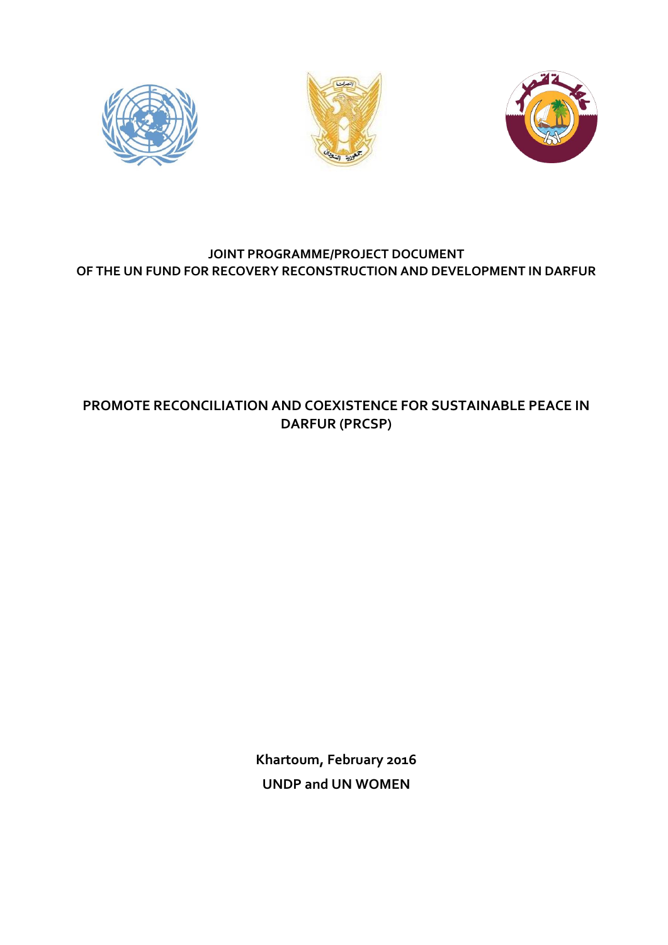





#### **JOINT PROGRAMME/PROJECT DOCUMENT OF THE UN FUND FOR RECOVERY RECONSTRUCTION AND DEVELOPMENT IN DARFUR**

### **PROMOTE RECONCILIATION AND COEXISTENCE FOR SUSTAINABLE PEACE IN DARFUR (PRCSP)**

**Khartoum, February 2016 UNDP and UN WOMEN**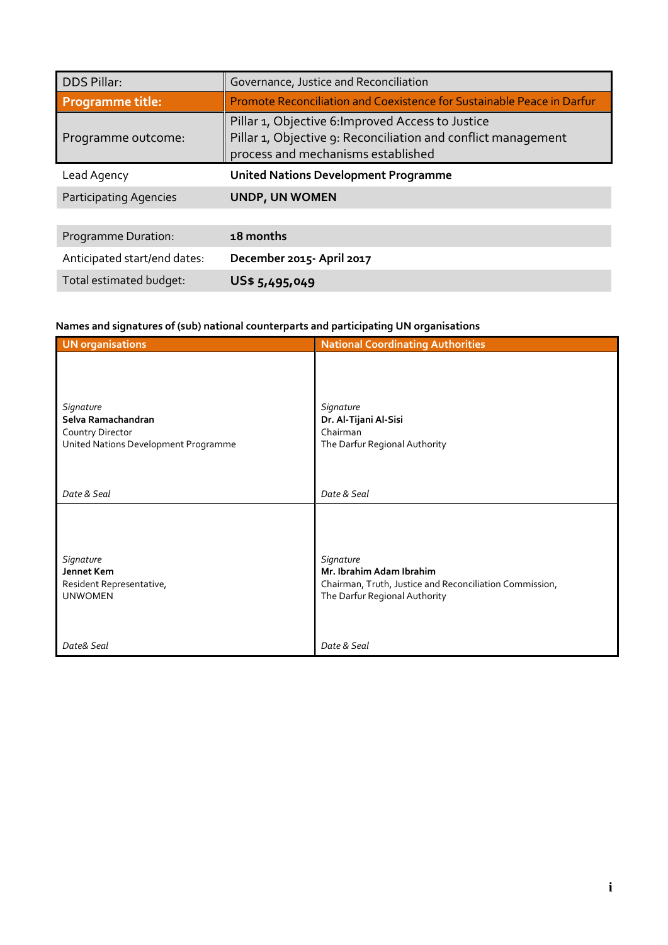| <b>DDS Pillar:</b>            | Governance, Justice and Reconciliation                                                                                                                   |
|-------------------------------|----------------------------------------------------------------------------------------------------------------------------------------------------------|
| <b>Programme title:</b>       | Promote Reconciliation and Coexistence for Sustainable Peace in Darfur                                                                                   |
| Programme outcome:            | Pillar 1, Objective 6: Improved Access to Justice<br>Pillar 1, Objective 9: Reconciliation and conflict management<br>process and mechanisms established |
| Lead Agency                   | <b>United Nations Development Programme</b>                                                                                                              |
| <b>Participating Agencies</b> | <b>UNDP, UN WOMEN</b>                                                                                                                                    |
|                               |                                                                                                                                                          |
| Programme Duration:           | 18 months                                                                                                                                                |
| Anticipated start/end dates:  | December 2015- April 2017                                                                                                                                |
| Total estimated budget:       | US\$ 5,495,049                                                                                                                                           |

## **Names and signatures of (sub) national counterparts and participating UN organisations**

| <b>UN</b> organisations                                                                     | <b>National Coordinating Authorities</b>                                                                                          |
|---------------------------------------------------------------------------------------------|-----------------------------------------------------------------------------------------------------------------------------------|
| Signature<br>Selva Ramachandran<br>Country Director<br>United Nations Development Programme | Signature<br>Dr. Al-Tijani Al-Sisi<br>Chairman<br>The Darfur Regional Authority                                                   |
| Date & Seal                                                                                 | Date & Seal                                                                                                                       |
| Signature<br>Jennet Kem<br>Resident Representative,<br><b>UNWOMEN</b>                       | Signature<br>Mr. Ibrahim Adam Ibrahim<br>Chairman, Truth, Justice and Reconciliation Commission,<br>The Darfur Regional Authority |
| Date& Seal                                                                                  | Date & Seal                                                                                                                       |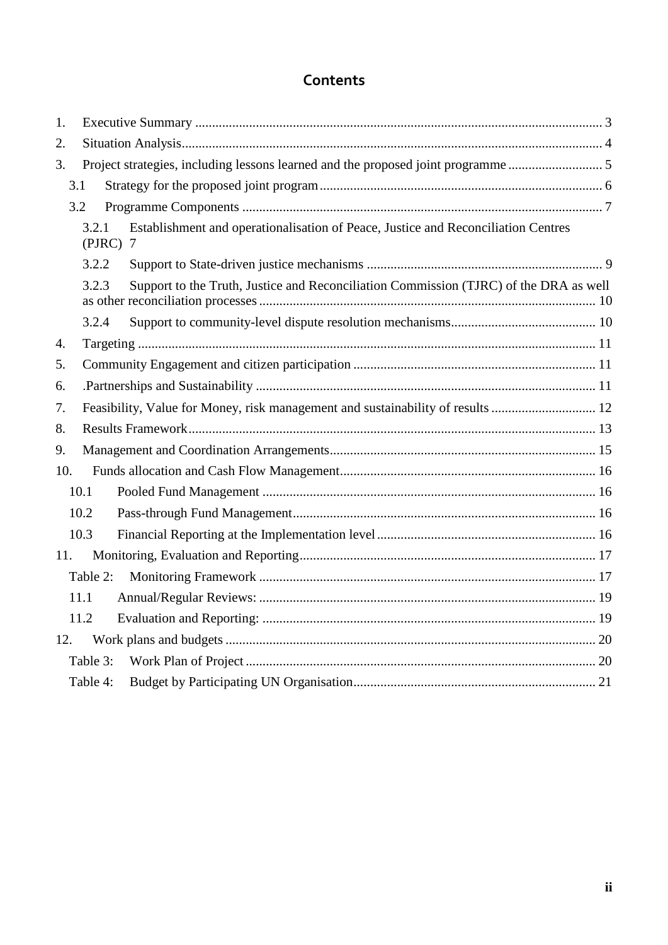# **Contents**

| 3.2.1 | Establishment and operationalisation of Peace, Justice and Reconciliation Centres<br>-7 |                                                                                                                                                                                                                          |
|-------|-----------------------------------------------------------------------------------------|--------------------------------------------------------------------------------------------------------------------------------------------------------------------------------------------------------------------------|
|       |                                                                                         |                                                                                                                                                                                                                          |
| 3.2.3 | Support to the Truth, Justice and Reconciliation Commission (TJRC) of the DRA as well   |                                                                                                                                                                                                                          |
| 3.2.4 |                                                                                         |                                                                                                                                                                                                                          |
|       |                                                                                         |                                                                                                                                                                                                                          |
|       |                                                                                         |                                                                                                                                                                                                                          |
|       |                                                                                         |                                                                                                                                                                                                                          |
|       |                                                                                         |                                                                                                                                                                                                                          |
|       |                                                                                         |                                                                                                                                                                                                                          |
|       |                                                                                         |                                                                                                                                                                                                                          |
|       |                                                                                         |                                                                                                                                                                                                                          |
|       |                                                                                         |                                                                                                                                                                                                                          |
|       |                                                                                         |                                                                                                                                                                                                                          |
|       |                                                                                         |                                                                                                                                                                                                                          |
|       |                                                                                         |                                                                                                                                                                                                                          |
|       |                                                                                         |                                                                                                                                                                                                                          |
|       |                                                                                         |                                                                                                                                                                                                                          |
|       |                                                                                         |                                                                                                                                                                                                                          |
|       |                                                                                         |                                                                                                                                                                                                                          |
|       |                                                                                         |                                                                                                                                                                                                                          |
|       |                                                                                         |                                                                                                                                                                                                                          |
| 10.   | 3.1<br>3.2<br>10.1<br>10.2<br>10.3<br>11.<br>11.1<br>11.2<br>12.                        | Project strategies, including lessons learned and the proposed joint programme<br>(PIRC)<br>3.2.2<br>Feasibility, Value for Money, risk management and sustainability of results  12<br>Table 2:<br>Table 3:<br>Table 4: |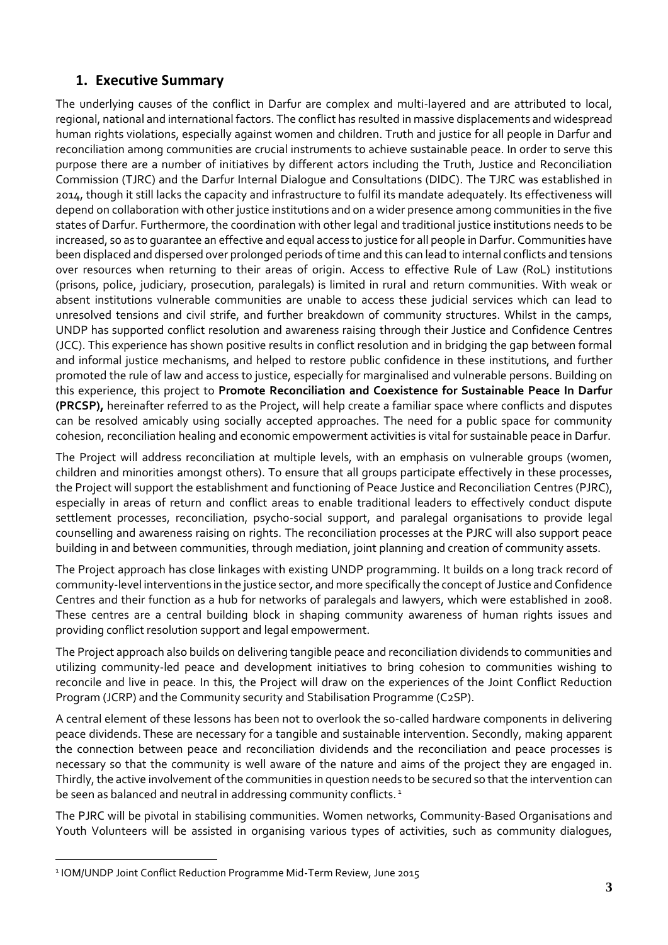### <span id="page-3-0"></span>**1. Executive Summary**

The underlying causes of the conflict in Darfur are complex and multi-layered and are attributed to local, regional, national and international factors. The conflict has resulted in massive displacements and widespread human rights violations, especially against women and children. Truth and justice for all people in Darfur and reconciliation among communities are crucial instruments to achieve sustainable peace. In order to serve this purpose there are a number of initiatives by different actors including the Truth, Justice and Reconciliation Commission (TJRC) and the Darfur Internal Dialogue and Consultations (DIDC). The TJRC was established in 2014, though it still lacks the capacity and infrastructure to fulfil its mandate adequately. Its effectiveness will depend on collaboration with other justice institutions and on a wider presence among communities in the five states of Darfur. Furthermore, the coordination with other legal and traditional justice institutions needs to be increased, so as to guarantee an effective and equal access to justice for all people in Darfur. Communities have been displaced and dispersed over prolonged periods of time and this can lead to internal conflicts and tensions over resources when returning to their areas of origin. Access to effective Rule of Law (RoL) institutions (prisons, police, judiciary, prosecution, paralegals) is limited in rural and return communities. With weak or absent institutions vulnerable communities are unable to access these judicial services which can lead to unresolved tensions and civil strife, and further breakdown of community structures. Whilst in the camps, UNDP has supported conflict resolution and awareness raising through their Justice and Confidence Centres (JCC). This experience has shown positive results in conflict resolution and in bridging the gap between formal and informal justice mechanisms, and helped to restore public confidence in these institutions, and further promoted the rule of law and access to justice, especially for marginalised and vulnerable persons. Building on this experience, this project to **Promote Reconciliation and Coexistence for Sustainable Peace In Darfur (PRCSP),** hereinafter referred to as the Project, will help create a familiar space where conflicts and disputes can be resolved amicably using socially accepted approaches. The need for a public space for community cohesion, reconciliation healing and economic empowerment activities is vital for sustainable peace in Darfur.

The Project will address reconciliation at multiple levels, with an emphasis on vulnerable groups (women, children and minorities amongst others). To ensure that all groups participate effectively in these processes, the Project will support the establishment and functioning of Peace Justice and Reconciliation Centres (PJRC), especially in areas of return and conflict areas to enable traditional leaders to effectively conduct dispute settlement processes, reconciliation, psycho-social support, and paralegal organisations to provide legal counselling and awareness raising on rights. The reconciliation processes at the PJRC will also support peace building in and between communities, through mediation, joint planning and creation of community assets.

The Project approach has close linkages with existing UNDP programming. It builds on a long track record of community-level interventions in the justice sector, and more specifically the concept of Justice and Confidence Centres and their function as a hub for networks of paralegals and lawyers, which were established in 2008. These centres are a central building block in shaping community awareness of human rights issues and providing conflict resolution support and legal empowerment.

The Project approach also builds on delivering tangible peace and reconciliation dividends to communities and utilizing community-led peace and development initiatives to bring cohesion to communities wishing to reconcile and live in peace. In this, the Project will draw on the experiences of the Joint Conflict Reduction Program (JCRP) and the Community security and Stabilisation Programme (C2SP).

A central element of these lessons has been not to overlook the so-called hardware components in delivering peace dividends. These are necessary for a tangible and sustainable intervention. Secondly, making apparent the connection between peace and reconciliation dividends and the reconciliation and peace processes is necessary so that the community is well aware of the nature and aims of the project they are engaged in. Thirdly, the active involvement of the communities in question needs to be secured so that the intervention can be seen as balanced and neutral in addressing community conflicts.<sup>1</sup>

The PJRC will be pivotal in stabilising communities. Women networks, Community-Based Organisations and Youth Volunteers will be assisted in organising various types of activities, such as community dialogues,

 $\overline{a}$ 

<sup>1</sup> IOM/UNDP Joint Conflict Reduction Programme Mid-Term Review, June 2015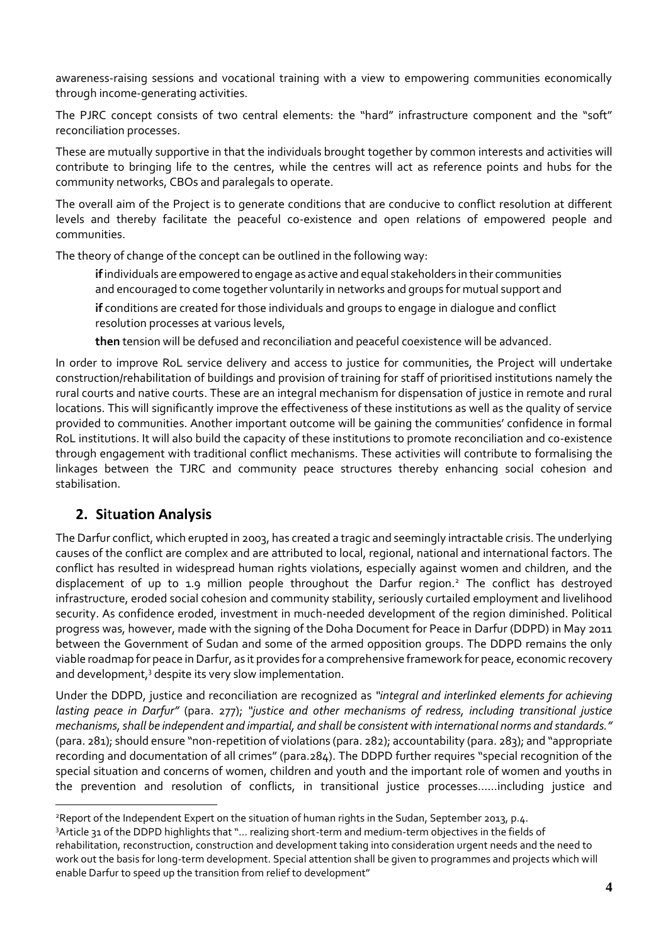awareness-raising sessions and vocational training with a view to empowering communities economically through income-generating activities.

The PJRC concept consists of two central elements: the "hard" infrastructure component and the "soft" reconciliation processes.

These are mutually supportive in that the individuals brought together by common interests and activities will contribute to bringing life to the centres, while the centres will act as reference points and hubs for the community networks, CBOs and paralegals to operate.

The overall aim of the Project is to generate conditions that are conducive to conflict resolution at different levels and thereby facilitate the peaceful co-existence and open relations of empowered people and communities.

The theory of change of the concept can be outlined in the following way:

**if**individuals are empowered to engage as active and equal stakeholders in their communities and encouraged to come together voluntarily in networks and groups for mutual support and

**if** conditions are created for those individuals and groups to engage in dialogue and conflict resolution processes at various levels,

**then** tension will be defused and reconciliation and peaceful coexistence will be advanced.

In order to improve RoL service delivery and access to justice for communities, the Project will undertake construction/rehabilitation of buildings and provision of training for staff of prioritised institutions namely the rural courts and native courts. These are an integral mechanism for dispensation of justice in remote and rural locations. This will significantly improve the effectiveness of these institutions as well as the quality of service provided to communities. Another important outcome will be gaining the communities' confidence in formal RoL institutions. It will also build the capacity of these institutions to promote reconciliation and co-existence through engagement with traditional conflict mechanisms. These activities will contribute to formalising the linkages between the TJRC and community peace structures thereby enhancing social cohesion and stabilisation.

### <span id="page-4-0"></span>**2. Si**t**uation Analysis**

 $\overline{a}$ 

The Darfur conflict, which erupted in 2003, has created a tragic and seemingly intractable crisis. The underlying causes of the conflict are complex and are attributed to local, regional, national and international factors. The conflict has resulted in widespread human rights violations, especially against women and children, and the displacement of up to 1.9 million people throughout the Darfur region.<sup>2</sup> The conflict has destroyed infrastructure, eroded social cohesion and community stability, seriously curtailed employment and livelihood security. As confidence eroded, investment in much-needed development of the region diminished. Political progress was, however, made with the signing of the Doha Document for Peace in Darfur (DDPD) in May 2011 between the Government of Sudan and some of the armed opposition groups. The DDPD remains the only viable roadmap for peace in Darfur, as it provides for a comprehensive framework for peace, economic recovery and development,<sup>3</sup> despite its very slow implementation.

Under the DDPD, justice and reconciliation are recognized as *"integral and interlinked elements for achieving lasting peace in Darfur"* (para. 277); *"justice and other mechanisms of redress, including transitional justice mechanisms, shall be independent and impartial, and shall be consistent with international norms and standards."*  (para. 281); should ensure "non-repetition of violations (para. 282); accountability (para. 283); and "appropriate recording and documentation of all crimes" (para.284). The DDPD further requires "special recognition of the special situation and concerns of women, children and youth and the important role of women and youths in the prevention and resolution of conflicts, in transitional justice processes……including justice and

<sup>2</sup>Report of the Independent Expert on the situation of human rights in the Sudan, September 2013, p.4. 3Article 31 of the DDPD highlights that "... realizing short-term and medium-term objectives in the fields of rehabilitation, reconstruction, construction and development taking into consideration urgent needs and the need to work out the basis for long-term development. Special attention shall be given to programmes and projects which will enable Darfur to speed up the transition from relief to development"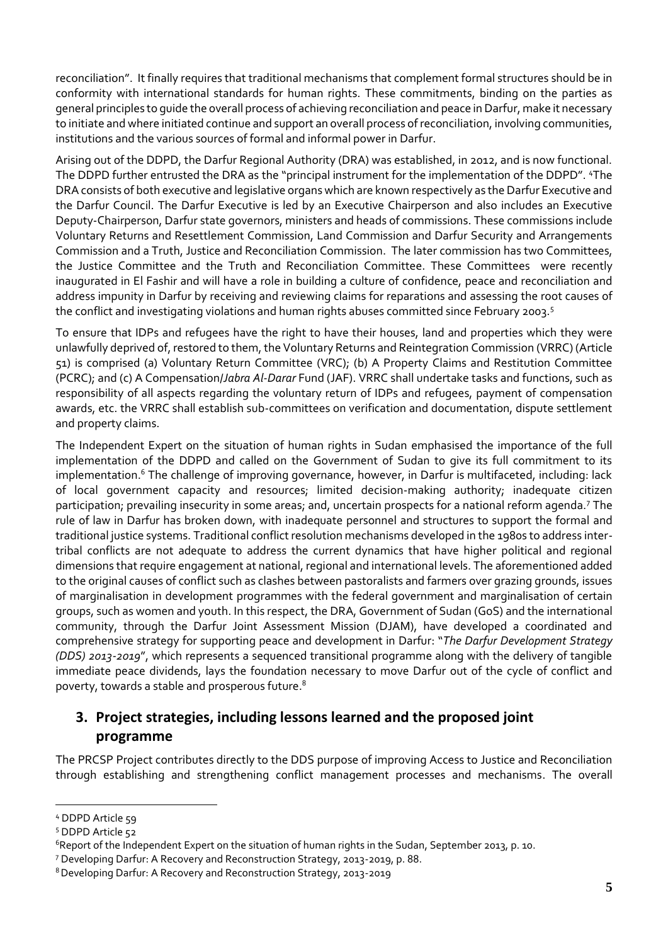reconciliation". It finally requires that traditional mechanisms that complement formal structures should be in conformity with international standards for human rights. These commitments, binding on the parties as general principles to guide the overall process of achieving reconciliation and peace in Darfur, make it necessary to initiate and where initiated continue and support an overall process of reconciliation, involving communities, institutions and the various sources of formal and informal power in Darfur.

Arising out of the DDPD, the Darfur Regional Authority (DRA) was established, in 2012, and is now functional. The DDPD further entrusted the DRA as the "principal instrument for the implementation of the DDPD". <sup>4</sup>The DRA consists of both executive and legislative organs which are known respectively as the Darfur Executive and the Darfur Council. The Darfur Executive is led by an Executive Chairperson and also includes an Executive Deputy-Chairperson, Darfur state governors, ministers and heads of commissions. These commissions include Voluntary Returns and Resettlement Commission, Land Commission and Darfur Security and Arrangements Commission and a Truth, Justice and Reconciliation Commission. The later commission has two Committees, the Justice Committee and the Truth and Reconciliation Committee. These Committees were recently inaugurated in El Fashir and will have a role in building a culture of confidence, peace and reconciliation and address impunity in Darfur by receiving and reviewing claims for reparations and assessing the root causes of the conflict and investigating violations and human rights abuses committed since February 2003.<sup>5</sup>

To ensure that IDPs and refugees have the right to have their houses, land and properties which they were unlawfully deprived of, restored to them, the Voluntary Returns and Reintegration Commission (VRRC) (Article 51) is comprised (a) Voluntary Return Committee (VRC); (b) A Property Claims and Restitution Committee (PCRC); and (c) A Compensation/*Jabra Al-Darar* Fund (JAF). VRRC shall undertake tasks and functions, such as responsibility of all aspects regarding the voluntary return of IDPs and refugees, payment of compensation awards, etc. the VRRC shall establish sub-committees on verification and documentation, dispute settlement and property claims.

The Independent Expert on the situation of human rights in Sudan emphasised the importance of the full implementation of the DDPD and called on the Government of Sudan to give its full commitment to its implementation.<sup>6</sup> The challenge of improving governance, however, in Darfur is multifaceted, including: lack of local government capacity and resources; limited decision-making authority; inadequate citizen participation; prevailing insecurity in some areas; and, uncertain prospects for a national reform agenda.<sup>7</sup> The rule of law in Darfur has broken down, with inadequate personnel and structures to support the formal and traditional justice systems. Traditional conflict resolution mechanisms developed in the 1980s to address intertribal conflicts are not adequate to address the current dynamics that have higher political and regional dimensions that require engagement at national, regional and international levels. The aforementioned added to the original causes of conflict such as clashes between pastoralists and farmers over grazing grounds, issues of marginalisation in development programmes with the federal government and marginalisation of certain groups, such as women and youth. In this respect, the DRA, Government of Sudan (GoS) and the international community, through the Darfur Joint Assessment Mission (DJAM), have developed a coordinated and comprehensive strategy for supporting peace and development in Darfur: "*The Darfur Development Strategy (DDS) 2013-2019*", which represents a sequenced transitional programme along with the delivery of tangible immediate peace dividends, lays the foundation necessary to move Darfur out of the cycle of conflict and poverty, towards a stable and prosperous future.<sup>8</sup>

## <span id="page-5-0"></span>**3. Project strategies, including lessons learned and the proposed joint programme**

The PRCSP Project contributes directly to the DDS purpose of improving Access to Justice and Reconciliation through establishing and strengthening conflict management processes and mechanisms. The overall

 $\overline{a}$ 

<sup>4</sup> DDPD Article 59

<sup>5</sup> DDPD Article 52

<sup>6</sup>Report of the Independent Expert on the situation of human rights in the Sudan, September 2013, p. 10.

<sup>7</sup> Developing Darfur: A Recovery and Reconstruction Strategy, 2013-2019, p. 88.

<sup>8</sup>Developing Darfur: A Recovery and Reconstruction Strategy, 2013-2019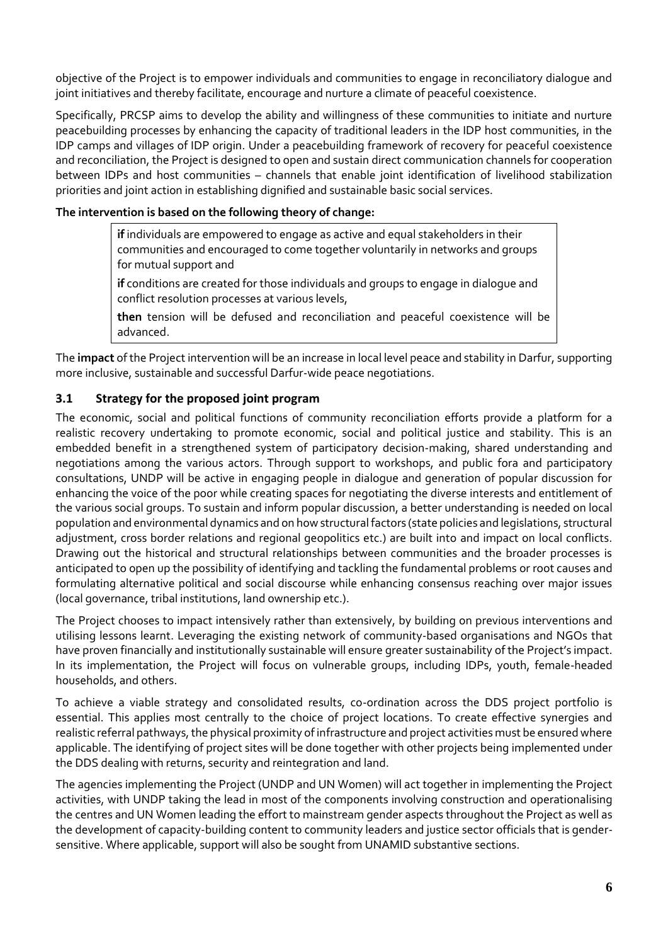objective of the Project is to empower individuals and communities to engage in reconciliatory dialogue and joint initiatives and thereby facilitate, encourage and nurture a climate of peaceful coexistence.

Specifically, PRCSP aims to develop the ability and willingness of these communities to initiate and nurture peacebuilding processes by enhancing the capacity of traditional leaders in the IDP host communities, in the IDP camps and villages of IDP origin. Under a peacebuilding framework of recovery for peaceful coexistence and reconciliation, the Project is designed to open and sustain direct communication channels for cooperation between IDPs and host communities – channels that enable joint identification of livelihood stabilization priorities and joint action in establishing dignified and sustainable basic social services.

#### **The intervention is based on the following theory of change:**

**if** individuals are empowered to engage as active and equal stakeholders in their communities and encouraged to come together voluntarily in networks and groups for mutual support and

**if** conditions are created for those individuals and groups to engage in dialogue and conflict resolution processes at various levels,

**then** tension will be defused and reconciliation and peaceful coexistence will be advanced.

The **impact** of the Project intervention will be an increase in local level peace and stability in Darfur, supporting more inclusive, sustainable and successful Darfur-wide peace negotiations.

#### <span id="page-6-0"></span>**3.1 Strategy for the proposed joint program**

The economic, social and political functions of community reconciliation efforts provide a platform for a realistic recovery undertaking to promote economic, social and political justice and stability. This is an embedded benefit in a strengthened system of participatory decision-making, shared understanding and negotiations among the various actors. Through support to workshops, and public fora and participatory consultations, UNDP will be active in engaging people in dialogue and generation of popular discussion for enhancing the voice of the poor while creating spaces for negotiating the diverse interests and entitlement of the various social groups. To sustain and inform popular discussion, a better understanding is needed on local population and environmental dynamics and on how structural factors (state policies and legislations, structural adjustment, cross border relations and regional geopolitics etc.) are built into and impact on local conflicts. Drawing out the historical and structural relationships between communities and the broader processes is anticipated to open up the possibility of identifying and tackling the fundamental problems or root causes and formulating alternative political and social discourse while enhancing consensus reaching over major issues (local governance, tribal institutions, land ownership etc.).

The Project chooses to impact intensively rather than extensively, by building on previous interventions and utilising lessons learnt. Leveraging the existing network of community-based organisations and NGOs that have proven financially and institutionally sustainable will ensure greater sustainability of the Project's impact. In its implementation, the Project will focus on vulnerable groups, including IDPs, youth, female-headed households, and others.

To achieve a viable strategy and consolidated results, co-ordination across the DDS project portfolio is essential. This applies most centrally to the choice of project locations. To create effective synergies and realistic referral pathways, the physical proximity of infrastructure and project activities must be ensured where applicable. The identifying of project sites will be done together with other projects being implemented under the DDS dealing with returns, security and reintegration and land.

The agencies implementing the Project (UNDP and UN Women) will act together in implementing the Project activities, with UNDP taking the lead in most of the components involving construction and operationalising the centres and UN Women leading the effort to mainstream gender aspects throughout the Project as well as the development of capacity-building content to community leaders and justice sector officials that is gendersensitive. Where applicable, support will also be sought from UNAMID substantive sections.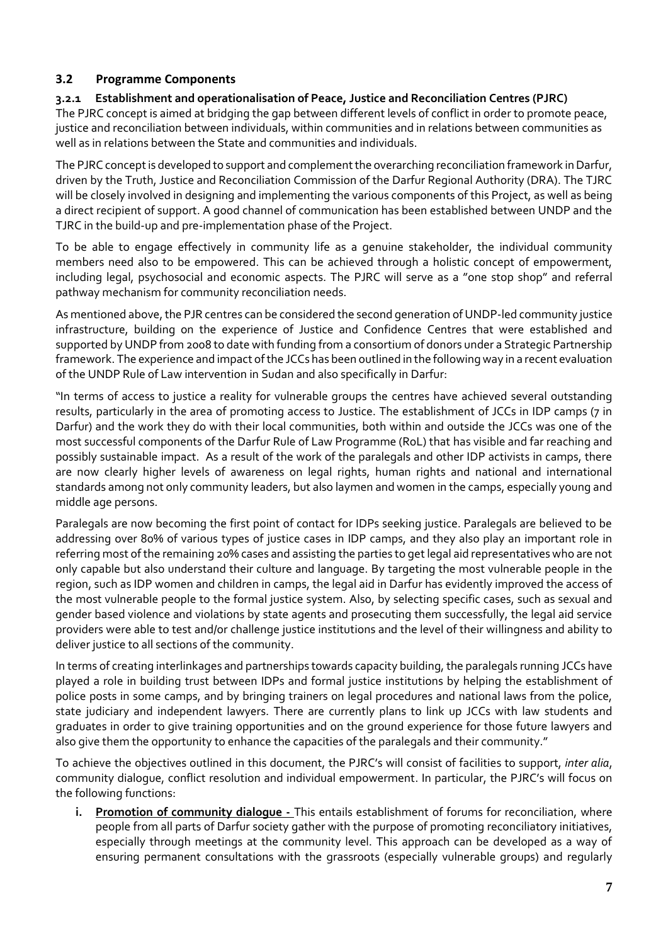#### <span id="page-7-0"></span>**3.2 Programme Components**

#### <span id="page-7-1"></span>**3.2.1 Establishment and operationalisation of Peace, Justice and Reconciliation Centres (PJRC)**

The PJRC concept is aimed at bridging the gap between different levels of conflict in order to promote peace, justice and reconciliation between individuals, within communities and in relations between communities as well as in relations between the State and communities and individuals.

The PJRC concept is developed to support and complement the overarching reconciliation framework in Darfur, driven by the Truth, Justice and Reconciliation Commission of the Darfur Regional Authority (DRA). The TJRC will be closely involved in designing and implementing the various components of this Project, as well as being a direct recipient of support. A good channel of communication has been established between UNDP and the TJRC in the build-up and pre-implementation phase of the Project.

To be able to engage effectively in community life as a genuine stakeholder, the individual community members need also to be empowered. This can be achieved through a holistic concept of empowerment, including legal, psychosocial and economic aspects. The PJRC will serve as a "one stop shop" and referral pathway mechanism for community reconciliation needs.

As mentioned above, the PJR centres can be considered the second generation of UNDP-led community justice infrastructure, building on the experience of Justice and Confidence Centres that were established and supported by UNDP from 2008 to date with funding from a consortium of donors under a Strategic Partnership framework. The experience and impact of the JCCs has been outlined in the following way in a recent evaluation of the UNDP Rule of Law intervention in Sudan and also specifically in Darfur:

"In terms of access to justice a reality for vulnerable groups the centres have achieved several outstanding results, particularly in the area of promoting access to Justice. The establishment of JCCs in IDP camps (7 in Darfur) and the work they do with their local communities, both within and outside the JCCs was one of the most successful components of the Darfur Rule of Law Programme (RoL) that has visible and far reaching and possibly sustainable impact. As a result of the work of the paralegals and other IDP activists in camps, there are now clearly higher levels of awareness on legal rights, human rights and national and international standards among not only community leaders, but also laymen and women in the camps, especially young and middle age persons.

Paralegals are now becoming the first point of contact for IDPs seeking justice. Paralegals are believed to be addressing over 80% of various types of justice cases in IDP camps, and they also play an important role in referring most of the remaining 20% cases and assisting the parties to get legal aid representatives who are not only capable but also understand their culture and language. By targeting the most vulnerable people in the region, such as IDP women and children in camps, the legal aid in Darfur has evidently improved the access of the most vulnerable people to the formal justice system. Also, by selecting specific cases, such as sexual and gender based violence and violations by state agents and prosecuting them successfully, the legal aid service providers were able to test and/or challenge justice institutions and the level of their willingness and ability to deliver justice to all sections of the community.

In terms of creating interlinkages and partnerships towards capacity building, the paralegals running JCCs have played a role in building trust between IDPs and formal justice institutions by helping the establishment of police posts in some camps, and by bringing trainers on legal procedures and national laws from the police, state judiciary and independent lawyers. There are currently plans to link up JCCs with law students and graduates in order to give training opportunities and on the ground experience for those future lawyers and also give them the opportunity to enhance the capacities of the paralegals and their community."

To achieve the objectives outlined in this document, the PJRC's will consist of facilities to support, *inter alia*, community dialogue, conflict resolution and individual empowerment. In particular, the PJRC's will focus on the following functions:

**i. Promotion of community dialogue -** This entails establishment of forums for reconciliation, where people from all parts of Darfur society gather with the purpose of promoting reconciliatory initiatives, especially through meetings at the community level. This approach can be developed as a way of ensuring permanent consultations with the grassroots (especially vulnerable groups) and regularly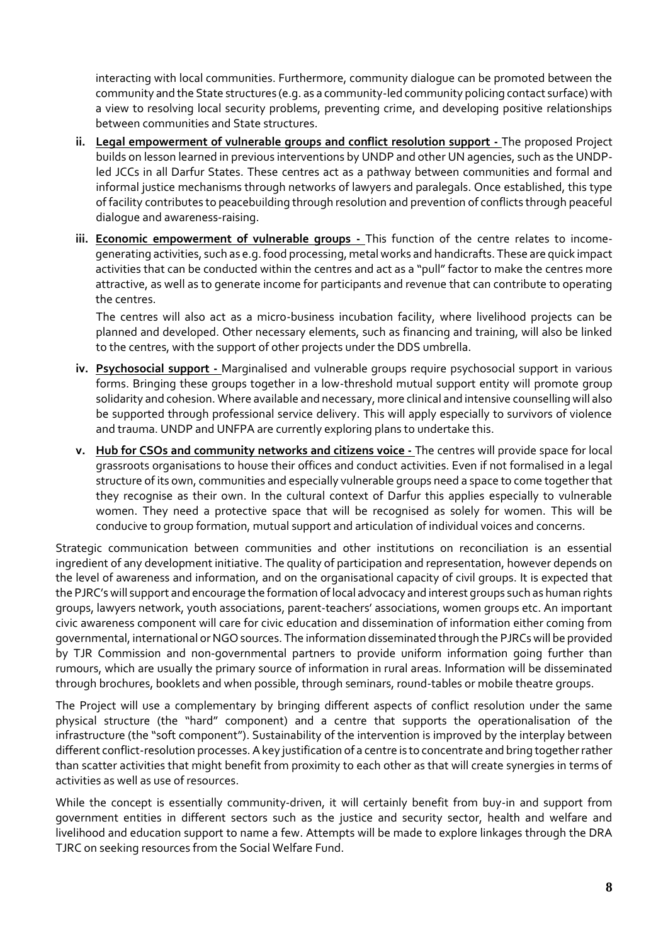interacting with local communities. Furthermore, community dialogue can be promoted between the community and the State structures (e.g. as a community-led community policing contact surface) with a view to resolving local security problems, preventing crime, and developing positive relationships between communities and State structures.

- **ii. Legal empowerment of vulnerable groups and conflict resolution support -** The proposed Project builds on lesson learned in previous interventions by UNDP and other UN agencies, such as the UNDPled JCCs in all Darfur States. These centres act as a pathway between communities and formal and informal justice mechanisms through networks of lawyers and paralegals. Once established, this type of facility contributes to peacebuilding through resolution and prevention of conflicts through peaceful dialogue and awareness-raising.
- **iii. Economic empowerment of vulnerable groups -** This function of the centre relates to incomegenerating activities, such as e.g. food processing, metal works and handicrafts. These are quick impact activities that can be conducted within the centres and act as a "pull" factor to make the centres more attractive, as well as to generate income for participants and revenue that can contribute to operating the centres.

The centres will also act as a micro-business incubation facility, where livelihood projects can be planned and developed. Other necessary elements, such as financing and training, will also be linked to the centres, with the support of other projects under the DDS umbrella.

- **iv. Psychosocial support -** Marginalised and vulnerable groups require psychosocial support in various forms. Bringing these groups together in a low-threshold mutual support entity will promote group solidarity and cohesion. Where available and necessary, more clinical and intensive counselling will also be supported through professional service delivery. This will apply especially to survivors of violence and trauma. UNDP and UNFPA are currently exploring plans to undertake this.
- **v. Hub for CSOs and community networks and citizens voice -** The centres will provide space for local grassroots organisations to house their offices and conduct activities. Even if not formalised in a legal structure of its own, communities and especially vulnerable groups need a space to come together that they recognise as their own. In the cultural context of Darfur this applies especially to vulnerable women. They need a protective space that will be recognised as solely for women. This will be conducive to group formation, mutual support and articulation of individual voices and concerns.

Strategic communication between communities and other institutions on reconciliation is an essential ingredient of any development initiative. The quality of participation and representation, however depends on the level of awareness and information, and on the organisational capacity of civil groups. It is expected that the PJRC's will support and encourage the formation of local advocacy and interest groups such as human rights groups, lawyers network, youth associations, parent-teachers' associations, women groups etc. An important civic awareness component will care for civic education and dissemination of information either coming from governmental, international or NGO sources. The information disseminated through the PJRCs will be provided by TJR Commission and non-governmental partners to provide uniform information going further than rumours, which are usually the primary source of information in rural areas. Information will be disseminated through brochures, booklets and when possible, through seminars, round-tables or mobile theatre groups.

The Project will use a complementary by bringing different aspects of conflict resolution under the same physical structure (the "hard" component) and a centre that supports the operationalisation of the infrastructure (the "soft component"). Sustainability of the intervention is improved by the interplay between different conflict-resolution processes. A key justification of a centre is to concentrate and bring together rather than scatter activities that might benefit from proximity to each other as that will create synergies in terms of activities as well as use of resources.

While the concept is essentially community-driven, it will certainly benefit from buy-in and support from government entities in different sectors such as the justice and security sector, health and welfare and livelihood and education support to name a few. Attempts will be made to explore linkages through the DRA TJRC on seeking resources from the Social Welfare Fund.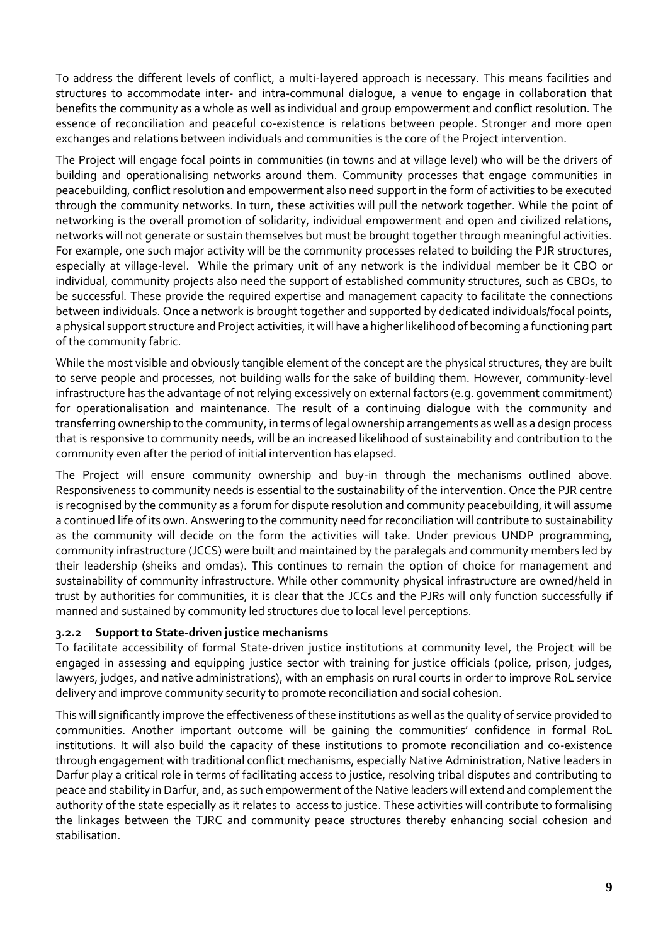To address the different levels of conflict, a multi-layered approach is necessary. This means facilities and structures to accommodate inter- and intra-communal dialogue, a venue to engage in collaboration that benefits the community as a whole as well as individual and group empowerment and conflict resolution. The essence of reconciliation and peaceful co-existence is relations between people. Stronger and more open exchanges and relations between individuals and communities is the core of the Project intervention.

The Project will engage focal points in communities (in towns and at village level) who will be the drivers of building and operationalising networks around them. Community processes that engage communities in peacebuilding, conflict resolution and empowerment also need support in the form of activities to be executed through the community networks. In turn, these activities will pull the network together. While the point of networking is the overall promotion of solidarity, individual empowerment and open and civilized relations, networks will not generate or sustain themselves but must be brought together through meaningful activities. For example, one such major activity will be the community processes related to building the PJR structures, especially at village-level. While the primary unit of any network is the individual member be it CBO or individual, community projects also need the support of established community structures, such as CBOs, to be successful. These provide the required expertise and management capacity to facilitate the connections between individuals. Once a network is brought together and supported by dedicated individuals/focal points, a physical support structure and Project activities, it will have a higher likelihood of becoming a functioning part of the community fabric.

While the most visible and obviously tangible element of the concept are the physical structures, they are built to serve people and processes, not building walls for the sake of building them. However, community-level infrastructure has the advantage of not relying excessively on external factors (e.g. government commitment) for operationalisation and maintenance. The result of a continuing dialogue with the community and transferring ownership to the community, in terms of legal ownership arrangements as well as a design process that is responsive to community needs, will be an increased likelihood of sustainability and contribution to the community even after the period of initial intervention has elapsed.

The Project will ensure community ownership and buy-in through the mechanisms outlined above. Responsiveness to community needs is essential to the sustainability of the intervention. Once the PJR centre is recognised by the community as a forum for dispute resolution and community peacebuilding, it will assume a continued life of its own. Answering to the community need for reconciliation will contribute to sustainability as the community will decide on the form the activities will take. Under previous UNDP programming, community infrastructure (JCCS) were built and maintained by the paralegals and community members led by their leadership (sheiks and omdas). This continues to remain the option of choice for management and sustainability of community infrastructure. While other community physical infrastructure are owned/held in trust by authorities for communities, it is clear that the JCCs and the PJRs will only function successfully if manned and sustained by community led structures due to local level perceptions.

#### <span id="page-9-0"></span>**3.2.2 Support to State-driven justice mechanisms**

To facilitate accessibility of formal State-driven justice institutions at community level, the Project will be engaged in assessing and equipping justice sector with training for justice officials (police, prison, judges, lawyers, judges, and native administrations), with an emphasis on rural courts in order to improve RoL service delivery and improve community security to promote reconciliation and social cohesion.

This will significantly improve the effectiveness of these institutions as well as the quality of service provided to communities. Another important outcome will be gaining the communities' confidence in formal RoL institutions. It will also build the capacity of these institutions to promote reconciliation and co-existence through engagement with traditional conflict mechanisms, especially Native Administration, Native leaders in Darfur play a critical role in terms of facilitating access to justice, resolving tribal disputes and contributing to peace and stability in Darfur, and, as such empowerment of the Native leaders will extend and complement the authority of the state especially as it relates to access to justice. These activities will contribute to formalising the linkages between the TJRC and community peace structures thereby enhancing social cohesion and stabilisation.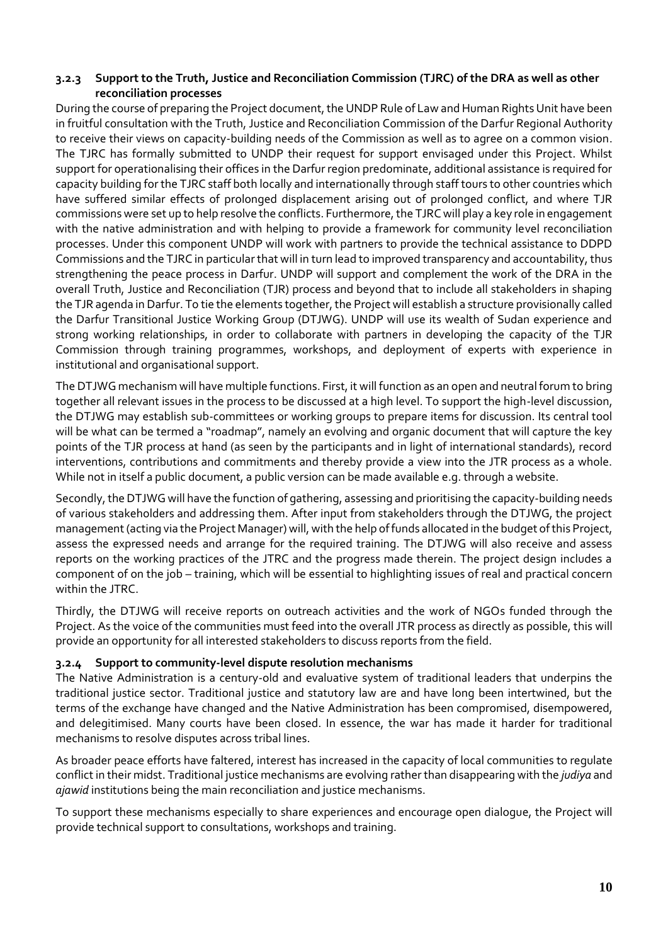#### <span id="page-10-0"></span>**3.2.3 Support to the Truth, Justice and Reconciliation Commission (TJRC) of the DRA as well as other reconciliation processes**

During the course of preparing the Project document, the UNDP Rule of Law and Human Rights Unit have been in fruitful consultation with the Truth, Justice and Reconciliation Commission of the Darfur Regional Authority to receive their views on capacity-building needs of the Commission as well as to agree on a common vision. The TJRC has formally submitted to UNDP their request for support envisaged under this Project. Whilst support for operationalising their offices in the Darfur region predominate, additional assistance is required for capacity building for the TJRC staff both locally and internationally through staff tours to other countries which have suffered similar effects of prolonged displacement arising out of prolonged conflict, and where TJR commissions were set up to help resolve the conflicts. Furthermore, the TJRC will play a key role in engagement with the native administration and with helping to provide a framework for community level reconciliation processes. Under this component UNDP will work with partners to provide the technical assistance to DDPD Commissions and the TJRC in particular that will in turn lead to improved transparency and accountability, thus strengthening the peace process in Darfur. UNDP will support and complement the work of the DRA in the overall Truth, Justice and Reconciliation (TJR) process and beyond that to include all stakeholders in shaping the TJR agenda in Darfur. To tie the elements together, the Project will establish a structure provisionally called the Darfur Transitional Justice Working Group (DTJWG). UNDP will use its wealth of Sudan experience and strong working relationships, in order to collaborate with partners in developing the capacity of the TJR Commission through training programmes, workshops, and deployment of experts with experience in institutional and organisational support.

The DTJWG mechanism will have multiple functions. First, it will function as an open and neutral forum to bring together all relevant issues in the process to be discussed at a high level. To support the high-level discussion, the DTJWG may establish sub-committees or working groups to prepare items for discussion. Its central tool will be what can be termed a "roadmap", namely an evolving and organic document that will capture the key points of the TJR process at hand (as seen by the participants and in light of international standards), record interventions, contributions and commitments and thereby provide a view into the JTR process as a whole. While not in itself a public document, a public version can be made available e.g. through a website.

Secondly, the DTJWG will have the function of gathering, assessing and prioritising the capacity-building needs of various stakeholders and addressing them. After input from stakeholders through the DTJWG, the project management (acting via the Project Manager) will, with the help of funds allocated in the budget of this Project, assess the expressed needs and arrange for the required training. The DTJWG will also receive and assess reports on the working practices of the JTRC and the progress made therein. The project design includes a component of on the job – training, which will be essential to highlighting issues of real and practical concern within the JTRC.

Thirdly, the DTJWG will receive reports on outreach activities and the work of NGOs funded through the Project. As the voice of the communities must feed into the overall JTR process as directly as possible, this will provide an opportunity for all interested stakeholders to discuss reports from the field.

#### <span id="page-10-1"></span>**3.2.4 Support to community-level dispute resolution mechanisms**

The Native Administration is a century-old and evaluative system of traditional leaders that underpins the traditional justice sector. Traditional justice and statutory law are and have long been intertwined, but the terms of the exchange have changed and the Native Administration has been compromised, disempowered, and delegitimised. Many courts have been closed. In essence, the war has made it harder for traditional mechanisms to resolve disputes across tribal lines.

As broader peace efforts have faltered, interest has increased in the capacity of local communities to regulate conflict in their midst. Traditional justice mechanisms are evolving rather than disappearing with the *judiya* and *ajawid* institutions being the main reconciliation and justice mechanisms.

To support these mechanisms especially to share experiences and encourage open dialogue, the Project will provide technical support to consultations, workshops and training.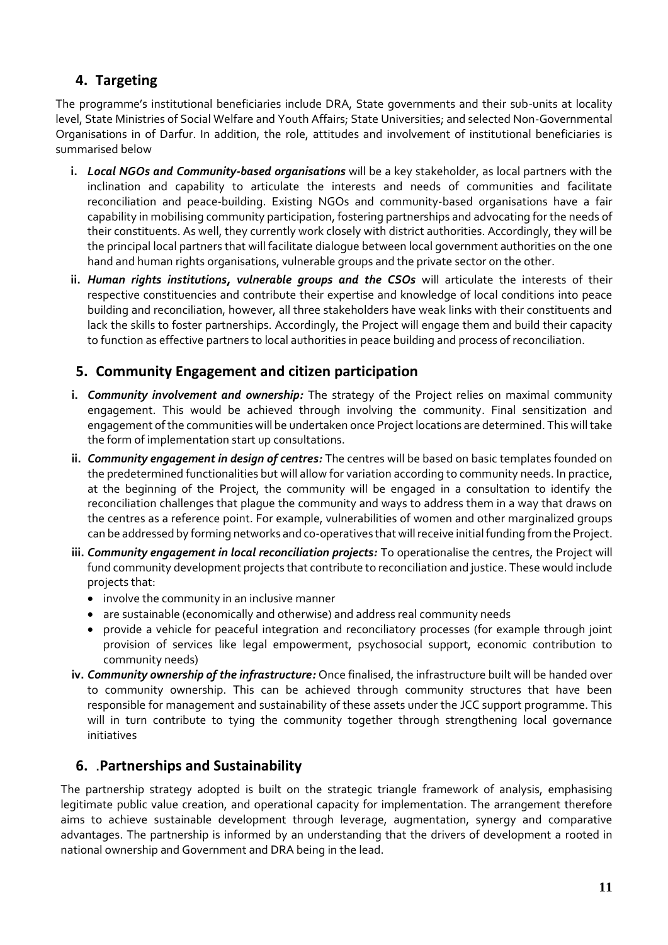## <span id="page-11-0"></span>**4. Targeting**

The programme's institutional beneficiaries include DRA, State governments and their sub-units at locality level, State Ministries of Social Welfare and Youth Affairs; State Universities; and selected Non-Governmental Organisations in of Darfur. In addition, the role, attitudes and involvement of institutional beneficiaries is summarised below

- **i.** *Local NGOs and Community-based organisations* will be a key stakeholder, as local partners with the inclination and capability to articulate the interests and needs of communities and facilitate reconciliation and peace-building. Existing NGOs and community-based organisations have a fair capability in mobilising community participation, fostering partnerships and advocating for the needs of their constituents. As well, they currently work closely with district authorities. Accordingly, they will be the principal local partners that will facilitate dialogue between local government authorities on the one hand and human rights organisations, vulnerable groups and the private sector on the other.
- **ii.** *Human rights institutions, vulnerable groups and the CSOs* will articulate the interests of their respective constituencies and contribute their expertise and knowledge of local conditions into peace building and reconciliation, however, all three stakeholders have weak links with their constituents and lack the skills to foster partnerships. Accordingly, the Project will engage them and build their capacity to function as effective partners to local authorities in peace building and process of reconciliation.

### <span id="page-11-1"></span>**5. Community Engagement and citizen participation**

- **i.** *Community involvement and ownership:* The strategy of the Project relies on maximal community engagement. This would be achieved through involving the community. Final sensitization and engagement of the communities will be undertaken once Project locations are determined. This will take the form of implementation start up consultations.
- **ii.** *Community engagement in design of centres:* The centres will be based on basic templates founded on the predetermined functionalities but will allow for variation according to community needs. In practice, at the beginning of the Project, the community will be engaged in a consultation to identify the reconciliation challenges that plague the community and ways to address them in a way that draws on the centres as a reference point. For example, vulnerabilities of women and other marginalized groups can be addressed by forming networks and co-operatives that will receive initial funding from the Project.
- **iii.** *Community engagement in local reconciliation projects:* To operationalise the centres, the Project will fund community development projects that contribute to reconciliation and justice. These would include projects that:
	- involve the community in an inclusive manner
	- are sustainable (economically and otherwise) and address real community needs
	- provide a vehicle for peaceful integration and reconciliatory processes (for example through joint provision of services like legal empowerment, psychosocial support, economic contribution to community needs)
- **iv.** *Community ownership of the infrastructure:* Once finalised, the infrastructure built will be handed over to community ownership. This can be achieved through community structures that have been responsible for management and sustainability of these assets under the JCC support programme. This will in turn contribute to tying the community together through strengthening local governance initiatives

### <span id="page-11-2"></span>**6. .Partnerships and Sustainability**

The partnership strategy adopted is built on the strategic triangle framework of analysis, emphasising legitimate public value creation, and operational capacity for implementation. The arrangement therefore aims to achieve sustainable development through leverage, augmentation, synergy and comparative advantages. The partnership is informed by an understanding that the drivers of development a rooted in national ownership and Government and DRA being in the lead.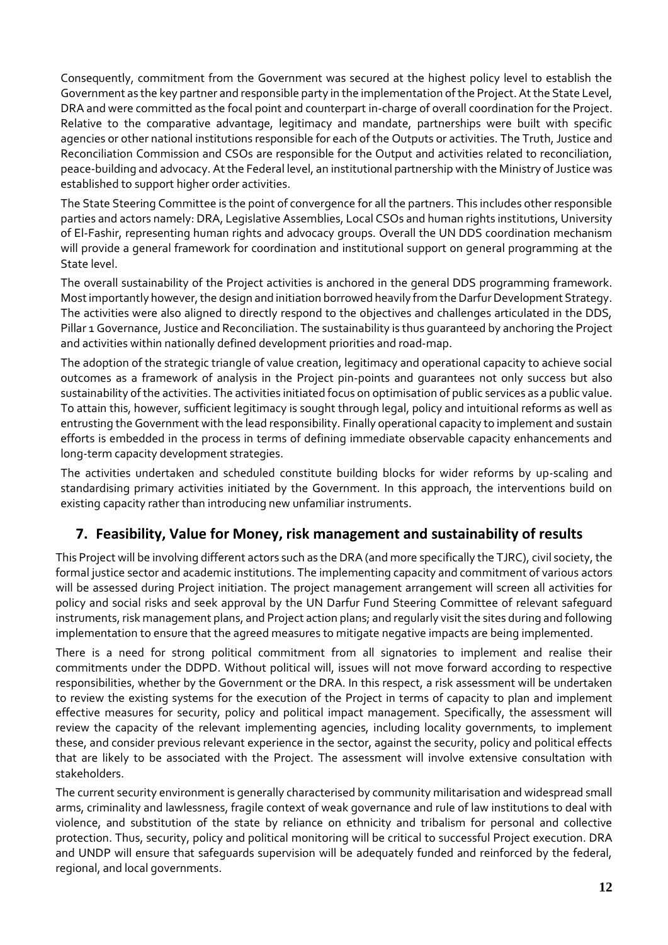Consequently, commitment from the Government was secured at the highest policy level to establish the Government as the key partner and responsible party in the implementation of the Project. At the State Level, DRA and were committed as the focal point and counterpart in-charge of overall coordination for the Project. Relative to the comparative advantage, legitimacy and mandate, partnerships were built with specific agencies or other national institutions responsible for each of the Outputs or activities. The Truth, Justice and Reconciliation Commission and CSOs are responsible for the Output and activities related to reconciliation, peace-building and advocacy. At the Federal level, an institutional partnership with the Ministry of Justice was established to support higher order activities.

The State Steering Committee is the point of convergence for all the partners. This includes other responsible parties and actors namely: DRA, Legislative Assemblies, Local CSOs and human rights institutions, University of El-Fashir, representing human rights and advocacy groups. Overall the UN DDS coordination mechanism will provide a general framework for coordination and institutional support on general programming at the State level.

The overall sustainability of the Project activities is anchored in the general DDS programming framework. Most importantly however, the design and initiation borrowed heavily from the Darfur Development Strategy. The activities were also aligned to directly respond to the objectives and challenges articulated in the DDS, Pillar 1 Governance, Justice and Reconciliation. The sustainability is thus guaranteed by anchoring the Project and activities within nationally defined development priorities and road-map.

The adoption of the strategic triangle of value creation, legitimacy and operational capacity to achieve social outcomes as a framework of analysis in the Project pin-points and guarantees not only success but also sustainability of the activities. The activities initiated focus on optimisation of public services as a public value. To attain this, however, sufficient legitimacy is sought through legal, policy and intuitional reforms as well as entrusting the Government with the lead responsibility. Finally operational capacity to implement and sustain efforts is embedded in the process in terms of defining immediate observable capacity enhancements and long-term capacity development strategies.

The activities undertaken and scheduled constitute building blocks for wider reforms by up-scaling and standardising primary activities initiated by the Government. In this approach, the interventions build on existing capacity rather than introducing new unfamiliar instruments.

## <span id="page-12-0"></span>**7. Feasibility, Value for Money, risk management and sustainability of results**

This Project will be involving different actors such as the DRA (and more specifically the TJRC), civil society, the formal justice sector and academic institutions. The implementing capacity and commitment of various actors will be assessed during Project initiation. The project management arrangement will screen all activities for policy and social risks and seek approval by the UN Darfur Fund Steering Committee of relevant safeguard instruments, risk management plans, and Project action plans; and regularly visit the sites during and following implementation to ensure that the agreed measures to mitigate negative impacts are being implemented.

There is a need for strong political commitment from all signatories to implement and realise their commitments under the DDPD. Without political will, issues will not move forward according to respective responsibilities, whether by the Government or the DRA. In this respect, a risk assessment will be undertaken to review the existing systems for the execution of the Project in terms of capacity to plan and implement effective measures for security, policy and political impact management. Specifically, the assessment will review the capacity of the relevant implementing agencies, including locality governments, to implement these, and consider previous relevant experience in the sector, against the security, policy and political effects that are likely to be associated with the Project. The assessment will involve extensive consultation with stakeholders.

The current security environment is generally characterised by community militarisation and widespread small arms, criminality and lawlessness, fragile context of weak governance and rule of law institutions to deal with violence, and substitution of the state by reliance on ethnicity and tribalism for personal and collective protection. Thus, security, policy and political monitoring will be critical to successful Project execution. DRA and UNDP will ensure that safeguards supervision will be adequately funded and reinforced by the federal, regional, and local governments.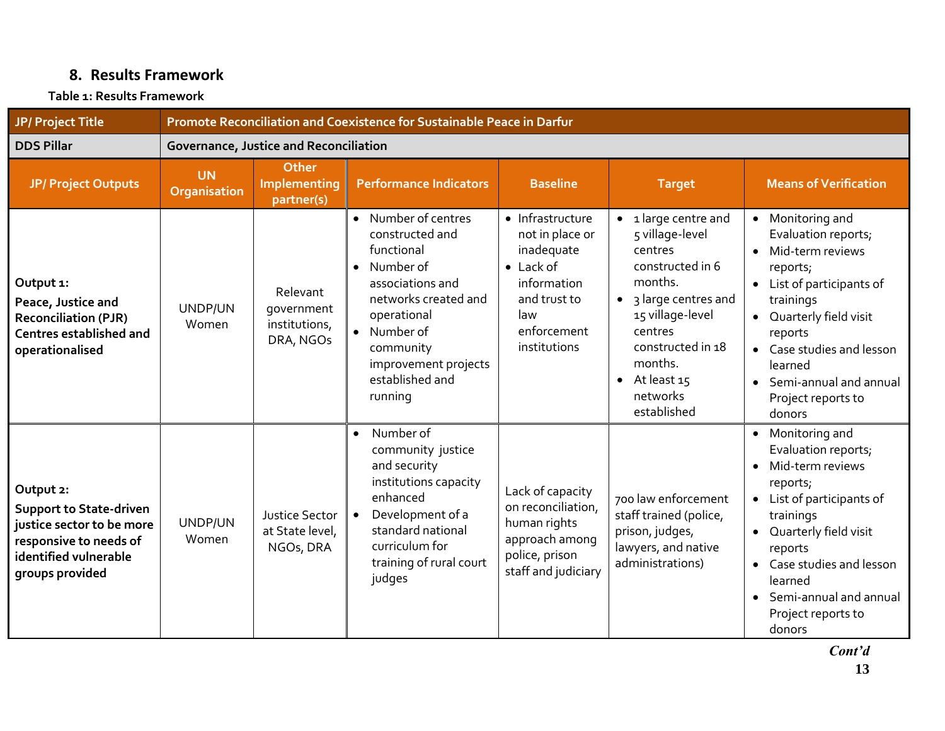### **8. Results Framework**

#### **Table 1: Results Framework**

<span id="page-13-0"></span>

| JP/ Project Title                                                                                                                              | Promote Reconciliation and Coexistence for Sustainable Peace in Darfur |                                                      |                                                                                                                                                                                                                                      |                                                                                                                                             |                                                                                                                                                                                                                               |                                                                                                                                                                                                                                                                                   |  |  |
|------------------------------------------------------------------------------------------------------------------------------------------------|------------------------------------------------------------------------|------------------------------------------------------|--------------------------------------------------------------------------------------------------------------------------------------------------------------------------------------------------------------------------------------|---------------------------------------------------------------------------------------------------------------------------------------------|-------------------------------------------------------------------------------------------------------------------------------------------------------------------------------------------------------------------------------|-----------------------------------------------------------------------------------------------------------------------------------------------------------------------------------------------------------------------------------------------------------------------------------|--|--|
| <b>DDS Pillar</b>                                                                                                                              | Governance, Justice and Reconciliation                                 |                                                      |                                                                                                                                                                                                                                      |                                                                                                                                             |                                                                                                                                                                                                                               |                                                                                                                                                                                                                                                                                   |  |  |
| <b>JP/Project Outputs</b>                                                                                                                      | <b>UN</b><br>Organisation                                              | <b>Other</b><br>Implementing<br>partner(s)           | <b>Performance Indicators</b>                                                                                                                                                                                                        | <b>Baseline</b>                                                                                                                             | <b>Means of Verification</b><br><b>Target</b>                                                                                                                                                                                 |                                                                                                                                                                                                                                                                                   |  |  |
| Output 1:<br>Peace, Justice and<br><b>Reconciliation (PJR)</b><br>Centres established and<br>operationalised                                   | UNDP/UN<br>Women                                                       | Relevant<br>qovernment<br>institutions,<br>DRA, NGOs | Number of centres<br>$\bullet$<br>constructed and<br>functional<br>Number of<br>$\bullet$<br>associations and<br>networks created and<br>operational<br>Number of<br>community<br>improvement projects<br>established and<br>running | • Infrastructure<br>not in place or<br>inadequate<br>$\bullet$ Lack of<br>information<br>and trust to<br>law<br>enforcement<br>institutions | • 1 large centre and<br>5 village-level<br>centres<br>constructed in 6<br>months.<br>• 3 large centres and<br>15 village-level<br>centres<br>constructed in 18<br>months.<br>$\bullet$ At least 15<br>networks<br>established | • Monitoring and<br>Evaluation reports;<br>Mid-term reviews<br>$\bullet$<br>reports;<br>• List of participants of<br>trainings<br>• Quarterly field visit<br>reports<br>• Case studies and lesson<br>learned<br>• Semi-annual and annual<br>Project reports to<br>donors          |  |  |
| Output 2:<br><b>Support to State-driven</b><br>justice sector to be more<br>responsive to needs of<br>identified vulnerable<br>groups provided | UNDP/UN<br>Women                                                       | Justice Sector<br>at State level,<br>NGOs, DRA       | Number of<br>$\bullet$<br>community justice<br>and security<br>institutions capacity<br>enhanced<br>Development of a<br>standard national<br>curriculum for<br>training of rural court<br>judges                                     | Lack of capacity<br>on reconciliation,<br>human rights<br>approach among<br>police, prison<br>staff and judiciary                           | 700 law enforcement<br>staff trained (police,<br>prison, judges,<br>lawyers, and native<br>administrations)                                                                                                                   | • Monitoring and<br>Evaluation reports;<br>Mid-term reviews<br>$\bullet$<br>reports;<br>List of participants of<br>trainings<br>Quarterly field visit<br>$\bullet$<br>reports<br>• Case studies and lesson<br>learned<br>• Semi-annual and annual<br>Project reports to<br>donors |  |  |

*Cont'd*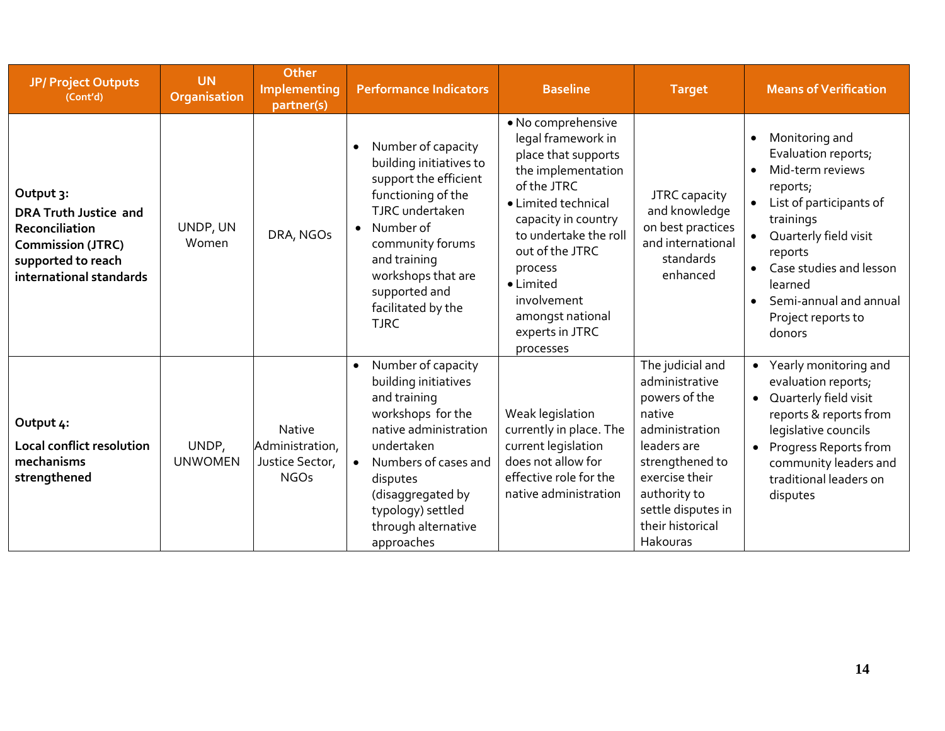| <b>JP/ Project Outputs</b><br>(Cont'd)                                                                                                   | <b>UN</b><br><b>Organisation</b> | <b>Other</b><br><b>Implementing</b><br>partner(s)                  | <b>Performance Indicators</b>                                                                                                                                                                                                                                          | <b>Baseline</b>                                                                                                                                                                                                                                                                           | <b>Target</b>                                                                                                                                                                                             | <b>Means of Verification</b>                                                                                                                                                                                                                                     |
|------------------------------------------------------------------------------------------------------------------------------------------|----------------------------------|--------------------------------------------------------------------|------------------------------------------------------------------------------------------------------------------------------------------------------------------------------------------------------------------------------------------------------------------------|-------------------------------------------------------------------------------------------------------------------------------------------------------------------------------------------------------------------------------------------------------------------------------------------|-----------------------------------------------------------------------------------------------------------------------------------------------------------------------------------------------------------|------------------------------------------------------------------------------------------------------------------------------------------------------------------------------------------------------------------------------------------------------------------|
| Output 3:<br><b>DRA Truth Justice and</b><br>Reconciliation<br><b>Commission (JTRC)</b><br>supported to reach<br>international standards | UNDP, UN<br>Women                | DRA, NGOs                                                          | Number of capacity<br>$\bullet$<br>building initiatives to<br>support the efficient<br>functioning of the<br>TJRC undertaken<br>Number of<br>$\bullet$<br>community forums<br>and training<br>workshops that are<br>supported and<br>facilitated by the<br><b>TJRC</b> | · No comprehensive<br>legal framework in<br>place that supports<br>the implementation<br>of the JTRC<br>• Limited technical<br>capacity in country<br>to undertake the roll<br>out of the JTRC<br>process<br>• Limited<br>involvement<br>amongst national<br>experts in JTRC<br>processes | JTRC capacity<br>and knowledge<br>on best practices<br>and international<br>standards<br>enhanced                                                                                                         | Monitoring and<br>Evaluation reports;<br>Mid-term reviews<br>reports;<br>List of participants of<br>trainings<br>• Quarterly field visit<br>reports<br>Case studies and lesson<br>learned<br>Semi-annual and annual<br>$\bullet$<br>Project reports to<br>donors |
| Output 4:<br>Local conflict resolution<br>mechanisms<br>strengthened                                                                     | UNDP,<br><b>UNWOMEN</b>          | <b>Native</b><br>Administration,<br>Justice Sector,<br><b>NGOs</b> | Number of capacity<br>$\bullet$<br>building initiatives<br>and training<br>workshops for the<br>native administration<br>undertaken<br>Numbers of cases and<br>$\bullet$<br>disputes<br>(disaggregated by<br>typology) settled<br>through alternative<br>approaches    | Weak legislation<br>currently in place. The<br>current legislation<br>does not allow for<br>effective role for the<br>native administration                                                                                                                                               | The judicial and<br>administrative<br>powers of the<br>native<br>administration<br>leaders are<br>strengthened to<br>exercise their<br>authority to<br>settle disputes in<br>their historical<br>Hakouras | • Yearly monitoring and<br>evaluation reports;<br>• Quarterly field visit<br>reports & reports from<br>legislative councils<br>• Progress Reports from<br>community leaders and<br>traditional leaders on<br>disputes                                            |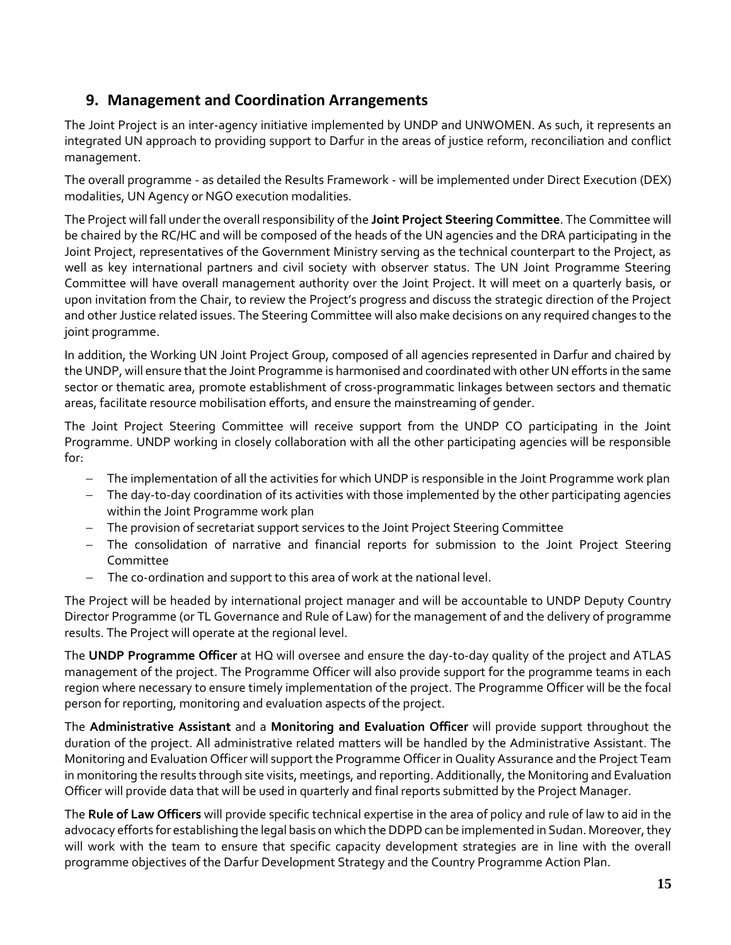### **9. Management and Coordination Arrangements**

<span id="page-15-0"></span>The Joint Project is an inter-agency initiative implemented by UNDP and UNWOMEN. As such, it represents an integrated UN approach to providing support to Darfur in the areas of justice reform, reconciliation and conflict management.

The overall programme - as detailed the Results Framework - will be implemented under Direct Execution (DEX) modalities, UN Agency or NGO execution modalities.

The Project will fall under the overall responsibility of the **Joint Project Steering Committee**. The Committee will be chaired by the RC/HC and will be composed of the heads of the UN agencies and the DRA participating in the Joint Project, representatives of the Government Ministry serving as the technical counterpart to the Project, as well as key international partners and civil society with observer status. The UN Joint Programme Steering Committee will have overall management authority over the Joint Project. It will meet on a quarterly basis, or upon invitation from the Chair, to review the Project's progress and discuss the strategic direction of the Project and other Justice related issues. The Steering Committee will also make decisions on any required changes to the joint programme.

In addition, the Working UN Joint Project Group, composed of all agencies represented in Darfur and chaired by the UNDP, will ensure that the Joint Programme is harmonised and coordinated with other UN efforts in the same sector or thematic area, promote establishment of cross-programmatic linkages between sectors and thematic areas, facilitate resource mobilisation efforts, and ensure the mainstreaming of gender.

The Joint Project Steering Committee will receive support from the UNDP CO participating in the Joint Programme. UNDP working in closely collaboration with all the other participating agencies will be responsible for:

- The implementation of all the activities for which UNDP is responsible in the Joint Programme work plan
- The day-to-day coordination of its activities with those implemented by the other participating agencies within the Joint Programme work plan
- The provision of secretariat support services to the Joint Project Steering Committee
- The consolidation of narrative and financial reports for submission to the Joint Project Steering Committee
- The co-ordination and support to this area of work at the national level.

The Project will be headed by international project manager and will be accountable to UNDP Deputy Country Director Programme (or TL Governance and Rule of Law) for the management of and the delivery of programme results. The Project will operate at the regional level.

The **UNDP Programme Officer** at HQ will oversee and ensure the day-to-day quality of the project and ATLAS management of the project. The Programme Officer will also provide support for the programme teams in each region where necessary to ensure timely implementation of the project. The Programme Officer will be the focal person for reporting, monitoring and evaluation aspects of the project.

The **Administrative Assistant** and a **Monitoring and Evaluation Officer** will provide support throughout the duration of the project. All administrative related matters will be handled by the Administrative Assistant. The Monitoring and Evaluation Officer will support the Programme Officer in Quality Assurance and the Project Team in monitoring the results through site visits, meetings, and reporting. Additionally, the Monitoring and Evaluation Officer will provide data that will be used in quarterly and final reports submitted by the Project Manager.

The **Rule of Law Officers** will provide specific technical expertise in the area of policy and rule of law to aid in the advocacy efforts for establishing the legal basis on which the DDPD can be implemented in Sudan. Moreover, they will work with the team to ensure that specific capacity development strategies are in line with the overall programme objectives of the Darfur Development Strategy and the Country Programme Action Plan.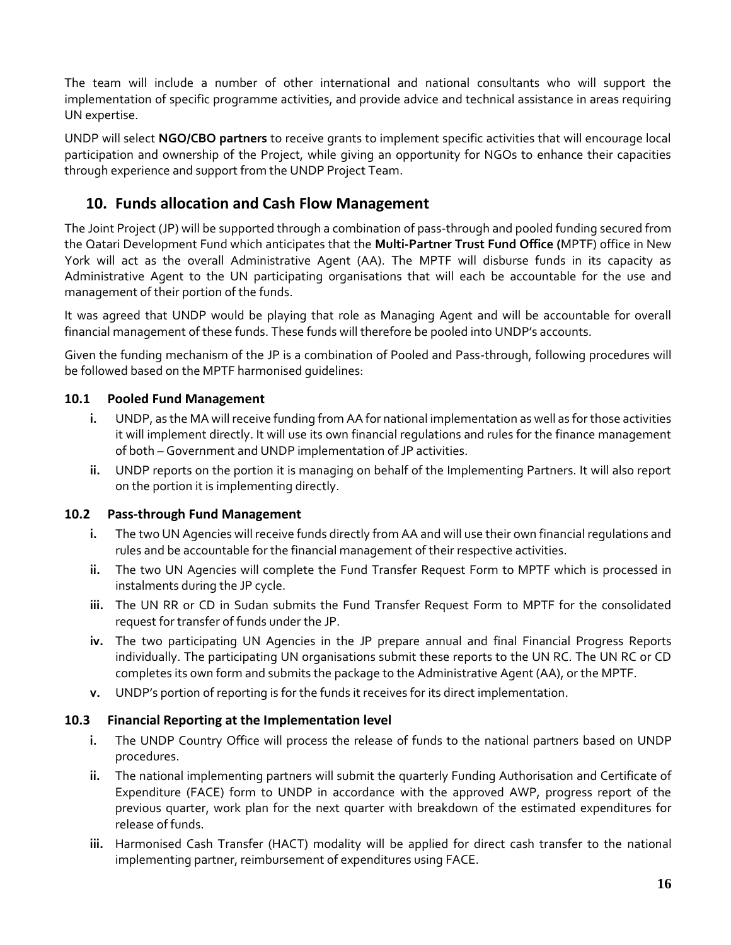The team will include a number of other international and national consultants who will support the implementation of specific programme activities, and provide advice and technical assistance in areas requiring UN expertise.

UNDP will select **NGO/CBO partners** to receive grants to implement specific activities that will encourage local participation and ownership of the Project, while giving an opportunity for NGOs to enhance their capacities through experience and support from the UNDP Project Team.

### **10. Funds allocation and Cash Flow Management**

<span id="page-16-0"></span>The Joint Project (JP) will be supported through a combination of pass-through and pooled funding secured from the Qatari Development Fund which anticipates that the **Multi-Partner Trust Fund Office (**MPTF) office in New York will act as the overall Administrative Agent (AA). The MPTF will disburse funds in its capacity as Administrative Agent to the UN participating organisations that will each be accountable for the use and management of their portion of the funds.

It was agreed that UNDP would be playing that role as Managing Agent and will be accountable for overall financial management of these funds. These funds will therefore be pooled into UNDP's accounts.

Given the funding mechanism of the JP is a combination of Pooled and Pass-through, following procedures will be followed based on the MPTF harmonised guidelines:

#### **10.1 Pooled Fund Management**

- **i.** UNDP, as the MA will receive funding from AA for national implementation as well as for those activities it will implement directly. It will use its own financial regulations and rules for the finance management of both – Government and UNDP implementation of JP activities.
- <span id="page-16-1"></span>**ii.** UNDP reports on the portion it is managing on behalf of the Implementing Partners. It will also report on the portion it is implementing directly.

#### **10.2 Pass-through Fund Management**

- **i.** The two UN Agencies will receive funds directly from AA and will use their own financial regulations and rules and be accountable for the financial management of their respective activities.
- <span id="page-16-2"></span>**ii.** The two UN Agencies will complete the Fund Transfer Request Form to MPTF which is processed in instalments during the JP cycle.
- **iii.** The UN RR or CD in Sudan submits the Fund Transfer Request Form to MPTF for the consolidated request for transfer of funds under the JP.
- **iv.** The two participating UN Agencies in the JP prepare annual and final Financial Progress Reports individually. The participating UN organisations submit these reports to the UN RC. The UN RC or CD completes its own form and submits the package to the Administrative Agent (AA), or the MPTF.
- **v.** UNDP's portion of reporting is for the funds it receives for its direct implementation.

#### **10.3 Financial Reporting at the Implementation level**

- **i.** The UNDP Country Office will process the release of funds to the national partners based on UNDP procedures.
- <span id="page-16-3"></span>**ii.** The national implementing partners will submit the quarterly Funding Authorisation and Certificate of Expenditure (FACE) form to UNDP in accordance with the approved AWP, progress report of the previous quarter, work plan for the next quarter with breakdown of the estimated expenditures for release of funds.
- **iii.** Harmonised Cash Transfer (HACT) modality will be applied for direct cash transfer to the national implementing partner, reimbursement of expenditures using FACE.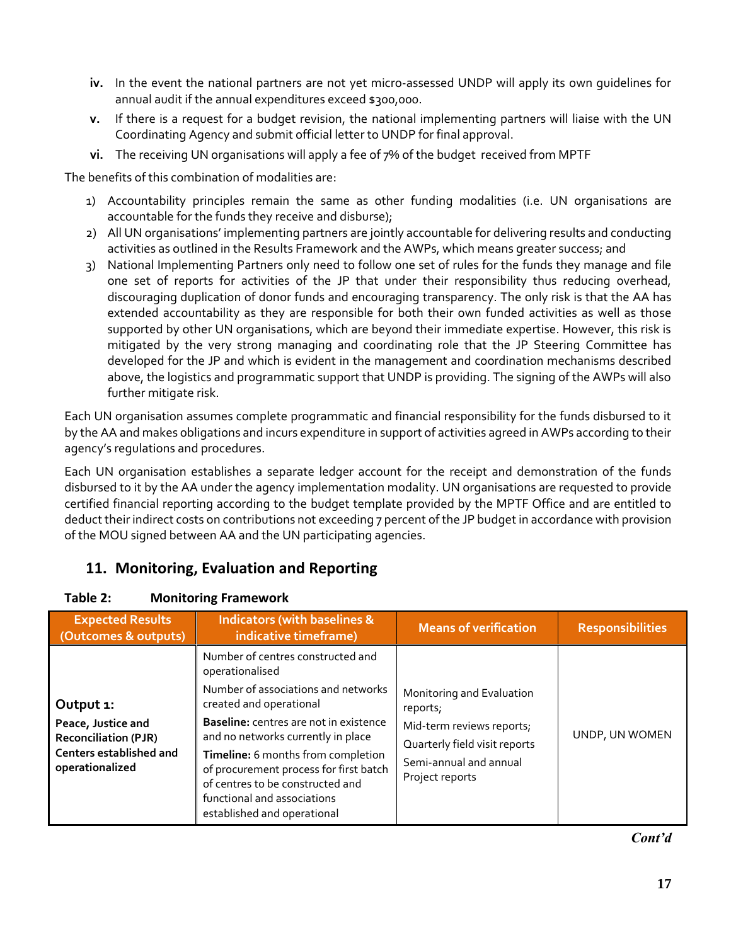- **iv.** In the event the national partners are not yet micro-assessed UNDP will apply its own guidelines for annual audit if the annual expenditures exceed \$300,000.
- **v.** If there is a request for a budget revision, the national implementing partners will liaise with the UN Coordinating Agency and submit official letter to UNDP for final approval.
- **vi.** The receiving UN organisations will apply a fee of 7% of the budget received from MPTF

The benefits of this combination of modalities are:

- 1) Accountability principles remain the same as other funding modalities (i.e. UN organisations are accountable for the funds they receive and disburse);
- 2) All UN organisations' implementing partners are jointly accountable for delivering results and conducting activities as outlined in the Results Framework and the AWPs, which means greater success; and
- 3) National Implementing Partners only need to follow one set of rules for the funds they manage and file one set of reports for activities of the JP that under their responsibility thus reducing overhead, discouraging duplication of donor funds and encouraging transparency. The only risk is that the AA has extended accountability as they are responsible for both their own funded activities as well as those supported by other UN organisations, which are beyond their immediate expertise. However, this risk is mitigated by the very strong managing and coordinating role that the JP Steering Committee has developed for the JP and which is evident in the management and coordination mechanisms described above, the logistics and programmatic support that UNDP is providing. The signing of the AWPs will also further mitigate risk.

Each UN organisation assumes complete programmatic and financial responsibility for the funds disbursed to it by the AA and makes obligations and incurs expenditure in support of activities agreed in AWPs according to their agency's regulations and procedures.

Each UN organisation establishes a separate ledger account for the receipt and demonstration of the funds disbursed to it by the AA under the agency implementation modality. UN organisations are requested to provide certified financial reporting according to the budget template provided by the MPTF Office and are entitled to deduct their indirect costs on contributions not exceeding 7 percent of the JP budget in accordance with provision of the MOU signed between AA and the UN participating agencies.

### **11. Monitoring, Evaluation and Reporting**

<span id="page-17-1"></span><span id="page-17-0"></span>

| <b>Expected Results</b><br>(Outcomes & outputs)                                                              | <b>Indicators (with baselines &amp;</b><br>indicative timeframe)                                                                                                                                                                                                                                                                                                                                | <b>Means of verification</b>                                                                                                                     | <b>Responsibilities</b> |
|--------------------------------------------------------------------------------------------------------------|-------------------------------------------------------------------------------------------------------------------------------------------------------------------------------------------------------------------------------------------------------------------------------------------------------------------------------------------------------------------------------------------------|--------------------------------------------------------------------------------------------------------------------------------------------------|-------------------------|
| Output 1:<br>Peace, Justice and<br><b>Reconciliation (PJR)</b><br>Centers established and<br>operationalized | Number of centres constructed and<br>operationalised<br>Number of associations and networks<br>created and operational<br><b>Baseline:</b> centres are not in existence<br>and no networks currently in place<br>Timeline: 6 months from completion<br>of procurement process for first batch<br>of centres to be constructed and<br>functional and associations<br>established and operational | Monitoring and Evaluation<br>reports;<br>Mid-term reviews reports;<br>Quarterly field visit reports<br>Semi-annual and annual<br>Project reports | UNDP, UN WOMEN          |

#### **Table 2: Monitoring Framework**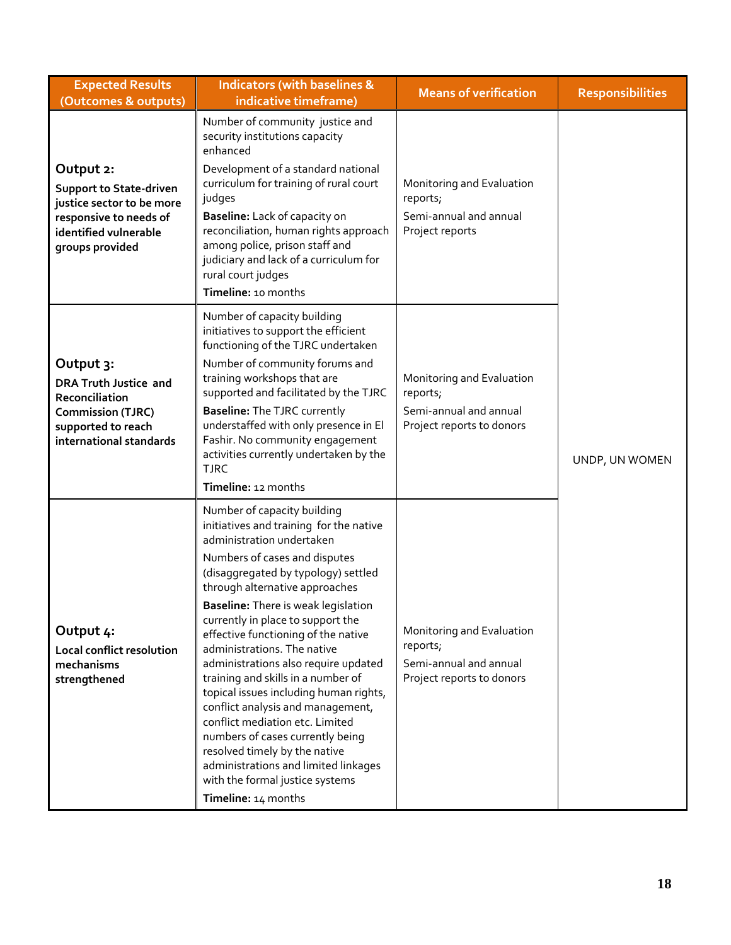| <b>Expected Results</b><br>(Outcomes & outputs)                                                                                                | <b>Indicators (with baselines &amp;</b><br>indicative timeframe)                                                                                                                                                                                                                                                                                                                                                                                                                                                                                                                                                                                                                                                                              | <b>Means of verification</b>                                                                 | <b>Responsibilities</b> |  |
|------------------------------------------------------------------------------------------------------------------------------------------------|-----------------------------------------------------------------------------------------------------------------------------------------------------------------------------------------------------------------------------------------------------------------------------------------------------------------------------------------------------------------------------------------------------------------------------------------------------------------------------------------------------------------------------------------------------------------------------------------------------------------------------------------------------------------------------------------------------------------------------------------------|----------------------------------------------------------------------------------------------|-------------------------|--|
| Output 2:<br><b>Support to State-driven</b><br>justice sector to be more<br>responsive to needs of<br>identified vulnerable<br>groups provided | Number of community justice and<br>security institutions capacity<br>enhanced<br>Development of a standard national<br>curriculum for training of rural court<br>judges<br>Baseline: Lack of capacity on<br>reconciliation, human rights approach<br>among police, prison staff and<br>judiciary and lack of a curriculum for<br>rural court judges<br>Timeline: 10 months                                                                                                                                                                                                                                                                                                                                                                    | Monitoring and Evaluation<br>reports;<br>Semi-annual and annual<br>Project reports           |                         |  |
| Output 3:<br><b>DRA Truth Justice and</b><br>Reconciliation<br><b>Commission (TJRC)</b><br>supported to reach<br>international standards       | Number of capacity building<br>initiatives to support the efficient<br>functioning of the TJRC undertaken<br>Number of community forums and<br>training workshops that are<br>supported and facilitated by the TJRC<br><b>Baseline: The TJRC currently</b><br>understaffed with only presence in El<br>Fashir. No community engagement<br>activities currently undertaken by the<br><b>TJRC</b><br>Timeline: 12 months                                                                                                                                                                                                                                                                                                                        | Monitoring and Evaluation<br>reports;<br>Semi-annual and annual<br>Project reports to donors | UNDP, UN WOMEN          |  |
| Output 4:<br>Local conflict resolution<br>mechanisms<br>strengthened                                                                           | Number of capacity building<br>initiatives and training for the native<br>administration undertaken<br>Numbers of cases and disputes<br>(disaggregated by typology) settled<br>through alternative approaches<br><b>Baseline:</b> There is weak legislation<br>currently in place to support the<br>effective functioning of the native<br>administrations. The native<br>administrations also require updated<br>training and skills in a number of<br>topical issues including human rights,<br>conflict analysis and management,<br>conflict mediation etc. Limited<br>numbers of cases currently being<br>resolved timely by the native<br>administrations and limited linkages<br>with the formal justice systems<br>Timeline: 14 months | Monitoring and Evaluation<br>reports;<br>Semi-annual and annual<br>Project reports to donors |                         |  |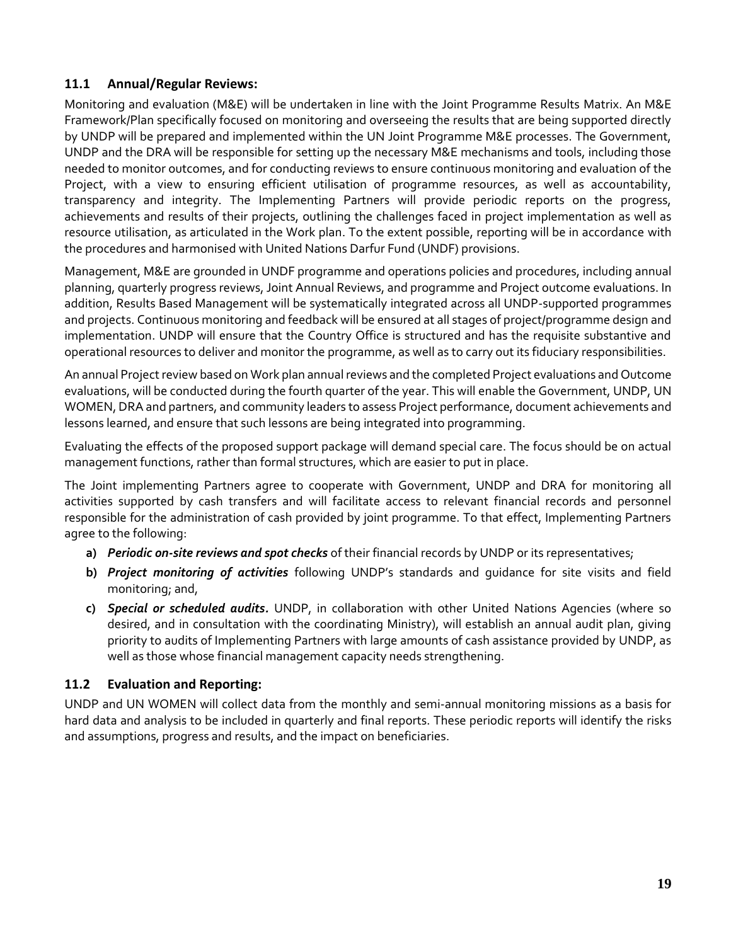#### **11.1 Annual/Regular Reviews:**

<span id="page-19-0"></span>Monitoring and evaluation (M&E) will be undertaken in line with the Joint Programme Results Matrix. An M&E Framework/Plan specifically focused on monitoring and overseeing the results that are being supported directly by UNDP will be prepared and implemented within the UN Joint Programme M&E processes. The Government, UNDP and the DRA will be responsible for setting up the necessary M&E mechanisms and tools, including those needed to monitor outcomes, and for conducting reviews to ensure continuous monitoring and evaluation of the Project, with a view to ensuring efficient utilisation of programme resources, as well as accountability, transparency and integrity. The Implementing Partners will provide periodic reports on the progress, achievements and results of their projects, outlining the challenges faced in project implementation as well as resource utilisation, as articulated in the Work plan. To the extent possible, reporting will be in accordance with the procedures and harmonised with United Nations Darfur Fund (UNDF) provisions.

Management, M&E are grounded in UNDF programme and operations policies and procedures, including annual planning, quarterly progress reviews, Joint Annual Reviews, and programme and Project outcome evaluations. In addition, Results Based Management will be systematically integrated across all UNDP-supported programmes and projects. Continuous monitoring and feedback will be ensured at all stages of project/programme design and implementation. UNDP will ensure that the Country Office is structured and has the requisite substantive and operational resources to deliver and monitor the programme, as well as to carry out its fiduciary responsibilities.

An annual Project review based on Work plan annual reviews and the completed Project evaluations and Outcome evaluations, will be conducted during the fourth quarter of the year. This will enable the Government, UNDP, UN WOMEN, DRA and partners, and community leaders to assess Project performance, document achievements and lessons learned, and ensure that such lessons are being integrated into programming.

Evaluating the effects of the proposed support package will demand special care. The focus should be on actual management functions, rather than formal structures, which are easier to put in place.

The Joint implementing Partners agree to cooperate with Government, UNDP and DRA for monitoring all activities supported by cash transfers and will facilitate access to relevant financial records and personnel responsible for the administration of cash provided by joint programme. To that effect, Implementing Partners agree to the following:

- **a)** *Periodic on-site reviews and spot checks* of their financial records by UNDP or its representatives;
- **b)** *Project monitoring of activities* following UNDP's standards and guidance for site visits and field monitoring; and,
- **c)** *Special or scheduled audits.* UNDP, in collaboration with other United Nations Agencies (where so desired, and in consultation with the coordinating Ministry), will establish an annual audit plan, giving priority to audits of Implementing Partners with large amounts of cash assistance provided by UNDP, as well as those whose financial management capacity needs strengthening.

#### **11.2 Evaluation and Reporting:**

<span id="page-19-1"></span>UNDP and UN WOMEN will collect data from the monthly and semi-annual monitoring missions as a basis for hard data and analysis to be included in quarterly and final reports. These periodic reports will identify the risks and assumptions, progress and results, and the impact on beneficiaries.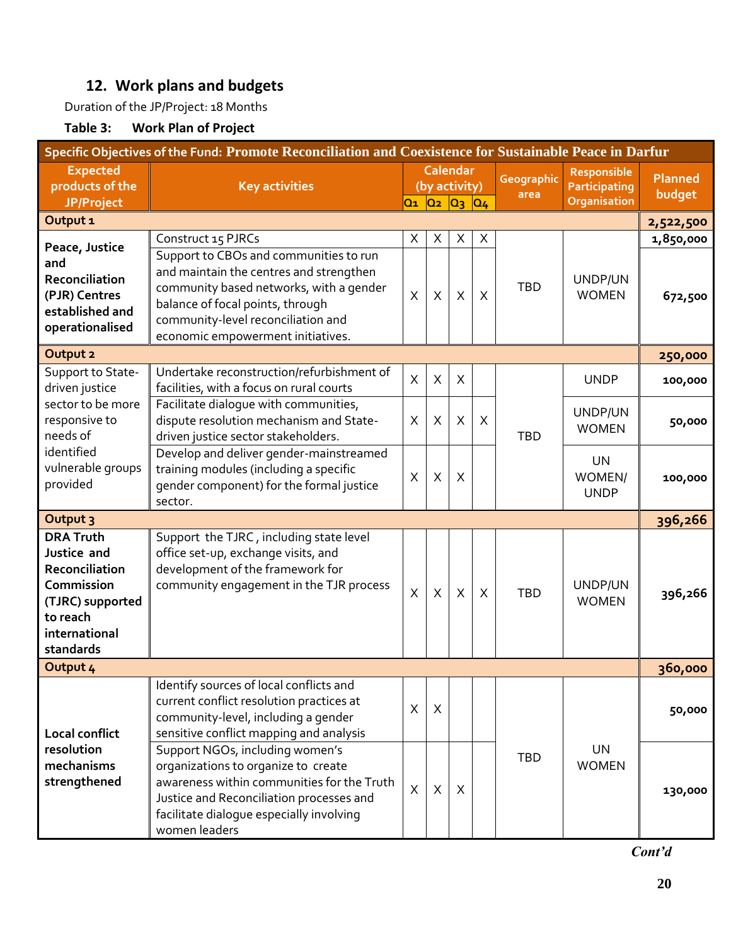# **12. Work plans and budgets**

Duration of the JP/Project: 18 Months

## <span id="page-20-0"></span>**Table 3: Work Plan of Project**

<span id="page-20-1"></span>

| Specific Objectives of the Fund: Promote Reconciliation and Coexistence for Sustainable Peace in Darfur                       |                                                                                                                                                                                                                                             |                           |                                                    |                |                |                                                                           |                                    |                          |
|-------------------------------------------------------------------------------------------------------------------------------|---------------------------------------------------------------------------------------------------------------------------------------------------------------------------------------------------------------------------------------------|---------------------------|----------------------------------------------------|----------------|----------------|---------------------------------------------------------------------------|------------------------------------|--------------------------|
| <b>Expected</b><br>products of the<br><b>JP/Project</b>                                                                       | <b>Key activities</b>                                                                                                                                                                                                                       | $Q_1$                     | <b>Calendar</b><br>(by activity)<br>Q <sub>2</sub> | Q <sub>3</sub> | Q <sub>4</sub> | <b>Responsible</b><br>Geographic<br>Participating<br>area<br>Organisation |                                    | <b>Planned</b><br>budget |
| Output <sub>1</sub>                                                                                                           |                                                                                                                                                                                                                                             |                           |                                                    |                |                | 2,522,500                                                                 |                                    |                          |
| Peace, Justice                                                                                                                | Construct 15 PJRCs                                                                                                                                                                                                                          | X                         | $\mathsf X$                                        | X              | X              |                                                                           |                                    | 1,850,000                |
| and<br>Reconciliation<br>(PJR) Centres<br>established and<br>operationalised                                                  | Support to CBOs and communities to run<br>and maintain the centres and strengthen<br>community based networks, with a gender<br>balance of focal points, through<br>community-level reconciliation and<br>economic empowerment initiatives. | $\times$                  | $\times$                                           | X              | $\times$       | <b>TBD</b>                                                                | UNDP/UN<br><b>WOMEN</b>            | 672,500                  |
| Output 2                                                                                                                      |                                                                                                                                                                                                                                             |                           |                                                    |                |                |                                                                           |                                    | 250,000                  |
| Support to State-<br>driven justice                                                                                           | Undertake reconstruction/refurbishment of<br>facilities, with a focus on rural courts                                                                                                                                                       | $\times$                  | $\times$                                           | X              |                |                                                                           | <b>UNDP</b>                        | 100,000                  |
| sector to be more<br>responsive to<br>needs of                                                                                | Facilitate dialogue with communities,<br>dispute resolution mechanism and State-<br>driven justice sector stakeholders.                                                                                                                     | X                         | X                                                  | X              | X              | <b>TBD</b>                                                                | UNDP/UN<br><b>WOMEN</b>            | 50,000                   |
| identified<br>vulnerable groups<br>provided                                                                                   | Develop and deliver gender-mainstreamed<br>training modules (including a specific<br>gender component) for the formal justice<br>sector.                                                                                                    | X                         | $\sf X$                                            | X              |                |                                                                           | <b>UN</b><br>WOMEN/<br><b>UNDP</b> | 100,000                  |
| Output 3                                                                                                                      |                                                                                                                                                                                                                                             |                           |                                                    |                |                |                                                                           |                                    | 396,266                  |
| <b>DRA Truth</b><br>Justice and<br>Reconciliation<br>Commission<br>(TJRC) supported<br>to reach<br>international<br>standards | Support the TJRC, including state level<br>office set-up, exchange visits, and<br>development of the framework for<br>community engagement in the TJR process                                                                               | $\times$                  | $\times$                                           | $\times$       | $\times$       | <b>TBD</b>                                                                | UNDP/UN<br><b>WOMEN</b>            | 396,266                  |
| Output 4                                                                                                                      |                                                                                                                                                                                                                                             |                           |                                                    |                |                |                                                                           |                                    | 360,000                  |
| <b>Local conflict</b>                                                                                                         | Identify sources of local conflicts and<br>current conflict resolution practices at<br>community-level, including a gender<br>sensitive conflict mapping and analysis                                                                       | $\boldsymbol{\mathsf{X}}$ | X                                                  |                |                |                                                                           |                                    | 50,000                   |
| resolution<br>mechanisms<br>strengthened                                                                                      | Support NGOs, including women's<br>organizations to organize to create<br>awareness within communities for the Truth<br>Justice and Reconciliation processes and<br>facilitate dialogue especially involving<br>women leaders               | X                         | $\times$                                           | X              |                | <b>TBD</b>                                                                | <b>UN</b><br><b>WOMEN</b>          | 130,000                  |

*Cont'd*